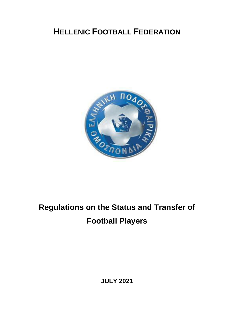## **HELLENIC FOOTBALL FEDERATION**



# **Regulations on the Status and Transfer of Football Players**

**JULY 2021**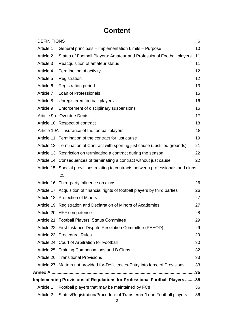## **Content**

|                                                                              | <b>DEFINITIONS</b><br>6                                                             |    |  |  |  |  |
|------------------------------------------------------------------------------|-------------------------------------------------------------------------------------|----|--|--|--|--|
| Article 1                                                                    | General principals - Implementation Limits - Purpose                                | 10 |  |  |  |  |
| Article 2                                                                    | Status of Football Players: Amateur and Professional Football players               | 11 |  |  |  |  |
| Article 3                                                                    | Reacquisition of amateur status                                                     | 11 |  |  |  |  |
| Article 4                                                                    | Termination of activity                                                             | 12 |  |  |  |  |
| Article 5                                                                    | Registration                                                                        | 12 |  |  |  |  |
| Article 6                                                                    | <b>Registration period</b>                                                          | 13 |  |  |  |  |
| Article 7                                                                    | Loan of Professionals                                                               | 15 |  |  |  |  |
| Article 8                                                                    | Unregistered football players                                                       | 16 |  |  |  |  |
| Article 9                                                                    | Enforcement of disciplinary suspensions                                             | 16 |  |  |  |  |
|                                                                              | Article 9b Overdue Depts                                                            | 17 |  |  |  |  |
|                                                                              | Article 10 Respect of contract                                                      | 18 |  |  |  |  |
|                                                                              | Article 10A Insurance of the football players                                       | 18 |  |  |  |  |
|                                                                              | Article 11 Termination of the contract for just cause                               | 19 |  |  |  |  |
|                                                                              | Article 12 Termination of Contract with sporting just cause (Justified grounds)     | 21 |  |  |  |  |
|                                                                              | Article 13 Restriction on terminating a contract during the season                  | 22 |  |  |  |  |
|                                                                              | Article 14 Consequences of terminating a contract without just cause                | 22 |  |  |  |  |
|                                                                              | Article 15 Special provisions relating to contracts between professionals and clubs |    |  |  |  |  |
|                                                                              | 25                                                                                  |    |  |  |  |  |
|                                                                              | Article 16 Third-party influence on clubs                                           | 26 |  |  |  |  |
|                                                                              | Article 17 Acquisition of financial rights of football players by third parties     | 26 |  |  |  |  |
|                                                                              | Article 18 Protection of Minors                                                     | 27 |  |  |  |  |
|                                                                              | Article 19 Registration and Declaration of Minors of Academies                      | 27 |  |  |  |  |
|                                                                              | Article 20 HFF competence                                                           | 28 |  |  |  |  |
|                                                                              | Article 21 Football Players' Status Committee                                       | 29 |  |  |  |  |
|                                                                              | Article 22 First Instance Dispute Resolution Committee (PEEOD)                      | 29 |  |  |  |  |
|                                                                              | Article 23 Procedural Rules                                                         | 29 |  |  |  |  |
|                                                                              | Article 24 Court of Arbitration for Football                                        | 30 |  |  |  |  |
|                                                                              | Article 25 Training Compensations and B Clubs                                       | 32 |  |  |  |  |
|                                                                              | Article 26 Transitional Provisions                                                  | 33 |  |  |  |  |
|                                                                              | Article 27 Matters not provided for-Deficiences-Entry into force of Provisions      | 33 |  |  |  |  |
|                                                                              |                                                                                     |    |  |  |  |  |
| Implementing Provisions of Regulations for Professional Football Players  35 |                                                                                     |    |  |  |  |  |
| Article 1                                                                    | Football players that may be maintained by FCs                                      | 36 |  |  |  |  |
| Article 2                                                                    | Status/Registration/Procedure of Transferred/Loan Football players                  | 36 |  |  |  |  |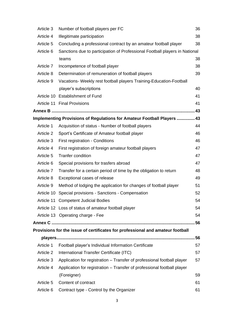| Article 3  | Number of football players per FC                                              | 36  |
|------------|--------------------------------------------------------------------------------|-----|
| Article 4  | Illegitimate participation                                                     | 38  |
| Article 5  | Concluding a professional contract by an amateur football player               | 38  |
| Article 6  | Sanctions due to participation of Professional Football players in National    |     |
|            | teams                                                                          | 38  |
| Article 7  | Incompetence of football player                                                | 38  |
| Article 8  | Determination of remuneration of football players                              | 39  |
| Article 9  | Vacations- Weekly rest football players Training-Education-Football            |     |
|            | player's subscriptions                                                         | 40  |
|            | Article 10 Establishment of Fund                                               | 41  |
|            | Article 11 Final Provisions                                                    | 41  |
|            |                                                                                | .43 |
|            | Implementing Provisions of Regulations for Amateur Football Players  43        |     |
| Article 1  | Acquisition of status - Number of football players                             | 44  |
| Article 2  | Sport's Certificate of Amateur football player                                 | 46  |
| Article 3  | First registration - Conditions                                                | 46  |
| Article 4  | First registration of foreign amateur football players                         | 47  |
| Article 5  | <b>Tranfer condition</b>                                                       | 47  |
| Article 6  | Special provisions for trasfers abroad                                         | 47  |
| Article 7  | Transfer for a certain period of time by the obligation to return              | 48  |
| Article 8  | Exceptional cases of release                                                   | 49  |
| Article 9  | Method of lodging the application for changes of football player               | 51  |
| Article 10 | Special provisions - Sanctions - Compensation                                  | 52  |
|            | Article 11 Competent Judicial Bodies                                           | 54  |
|            | Article 12 Loss of status of amateur football player                           | 54  |
|            | Article 13 Operating charge - Fee                                              | 54  |
|            |                                                                                |     |
|            | Provisions for the issue of certificates for professional and amateur football |     |
|            |                                                                                |     |
| Article 1  | Football player's Individual Information Certificate                           | 57  |
| Article 2  | International Transfer Certificate (ITC)                                       | 57  |
| Article 3  | Application for registration - Transfer of professional football player        | 57  |
| Article 4  | Application for registration - Transfer of professional football player        |     |
|            | (Foreigner)                                                                    | 59  |
| Article 5  | Content of contract                                                            | 61  |
| Article 6  | Contract type - Control by the Organizer                                       | 61  |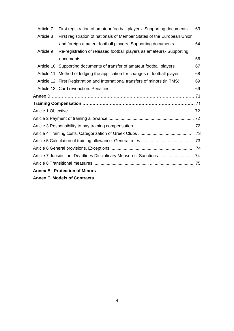|                                     | Article 7                          | First registration of amateur football players- Supporting documents         | 63 |  |  |  |  |
|-------------------------------------|------------------------------------|------------------------------------------------------------------------------|----|--|--|--|--|
|                                     | Article 8                          | First registration of nationals of Member States of the European Union       |    |  |  |  |  |
|                                     |                                    | and foreign amateur football players -Supporting documents                   | 64 |  |  |  |  |
|                                     | Article 9                          | Re-registration of released football players as amateurs- Supporting         |    |  |  |  |  |
|                                     |                                    | documents                                                                    | 66 |  |  |  |  |
|                                     | Article 10                         | Supporting documents of transfer of amateur football players                 | 67 |  |  |  |  |
|                                     | Article 11                         | Method of lodging the application for changes of football player             | 68 |  |  |  |  |
|                                     |                                    | Article 12 First Registration and International transfers of minors (in TMS) | 69 |  |  |  |  |
|                                     |                                    | Article 13 Card revoaction. Penalties.                                       | 69 |  |  |  |  |
|                                     |                                    |                                                                              |    |  |  |  |  |
|                                     |                                    |                                                                              |    |  |  |  |  |
|                                     |                                    |                                                                              |    |  |  |  |  |
|                                     |                                    |                                                                              |    |  |  |  |  |
|                                     |                                    |                                                                              |    |  |  |  |  |
| 73                                  |                                    |                                                                              |    |  |  |  |  |
|                                     | 73                                 |                                                                              |    |  |  |  |  |
|                                     |                                    |                                                                              |    |  |  |  |  |
|                                     |                                    | Article 7 Jurisdiction. Deadlines Disciplinary Measures. Sanctions  74       |    |  |  |  |  |
|                                     |                                    |                                                                              |    |  |  |  |  |
| <b>Annex E</b> Protection of Minors |                                    |                                                                              |    |  |  |  |  |
|                                     | <b>Annex F Models of Contracts</b> |                                                                              |    |  |  |  |  |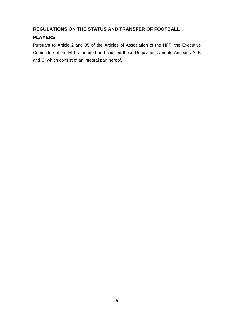#### **REGULATIONS ON THE STATUS AND TRANSFER OF FOOTBALL**

### **PLAYERS**

Pursuant to Article 2 and 35 of the Articles of Association of the HFF, the Executive Committee of the HFF amended and codified these Regulations and its Annexes A, B and C, which consist of an integral part hereof.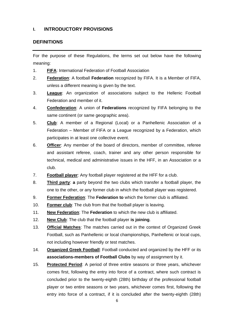#### **I. INTRODUCTORY PROVISIONS**

#### <span id="page-5-0"></span>**DEFINITIONS**

For the purpose of these Regulations, the terms set out below have the following meaning:

- 1. **FIFA**: International Federation of Football Association
- 2. **Federation**: A football **Federation** recognized by FIFA. It is a Member of FIFA, unless a different meaning is given by the text.
- 3. **League**: An organization of associations subject to the Hellenic Football Federation and member of it.
- 4. **Confederation**: A union of **Federations** recognized by FIFA belonging to the same continent (or same geographic area).
- 5. **Club**: A member of a Regional (Local) or a Panhellenic Association of a Federation – Member of FIFA or a League recognized by a Federation, which participates in at least one collective event.
- 6. **Officer**: Any member of the board of directors, member of committee, referee and assistant referee, coach, trainer and any other person responsible for technical, medical and administrative issues in the HFF, in an Association or a club.
- 7. **Football player**: Any football player registered at the HFF for a club.
- 8. **Third party**: **a** party beyond the two clubs which transfer a football player, the one to the other, or any former club in which the football player was registered.
- 9. **Former Federation**: The **Federation to** which the former club is affiliated.
- 10. **Former club**: The club from that the football player is leaving.
- 11. **New Federation**: The **Federation** to which the new club is affiliated.
- 12. **New Club**: The club that the football player **is joining**.
- 13. **Official Matches**: The matches carried out in the context of Organized Greek Football, such as Panhellenic or local championships, Panhellenic or local cups, not including however friendly or test matches.
- 14. **Organized Greek Football**: Football conducted and organized by the HFF or its **associations-members of Football Clubs** by way of assignment by it.
- 15. **Protected Period**: A period of three entire seasons or three years, whichever comes first, following the entry into force of a contract, where such contract is concluded prior to the twenty-eighth (28th) birthday of the professional football player or two entire seasons or two years, whichever comes first, following the entry into force of a contract, if it is concluded after the twenty-eighth (28th)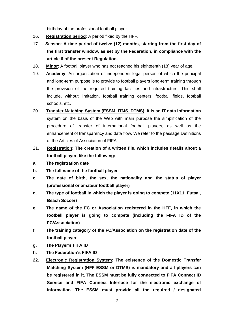birthday of the professional football player.

- 16. **Registration period**: A period fixed by the HFF.
- 17. **Season**: **A time period of twelve (12) months, starting from the first day of the first transfer window, as set by the Federation, in compliance with the article 6 of the present Regulation.**
- 18. **Minor**: A football player who has not reached his eighteenth (18) year of age.
- 19. **Academy**: An organization or independent legal person of which the principal and long-term purpose is to provide to football players long-term training through the provision of the required training facilities and infrastructure. This shall include, without limitation, football training centers, football fields, football schools, etc.
- 20. **Transfer Matching System (ESSM, ITMS, DTMS)**: **it is an IT data information** system on the basis of the Web with main purpose the simplification of the procedure of transfer of international football players, as well as the enhancement of transparency and data flow. We refer to the passage Definitions of the Articles of Association of FIFA.
- 21. **Registration**: **The creation of a written file, which includes details about a football player, like the following:**
- **a. The registration date**
- **b. The full name of the football player**
- **c. The date of birth, the sex, the nationality and the status of player (professional or amateur football player)**
- **d. The type of football in which the player is going to compete (11X11, Futsal, Beach Soccer)**
- **e. The name of the FC or Association registered in the HFF, in which the football player is going to compete (including the FIFA ID of the FC/Association)**
- **f. The training category of the FC/Association on the registration date of the football player**
- **g. The Player's FIFA ID**
- **h. The Federation's FIFA ID**
- **22. Electronic Registration System: The existence of the Domestic Transfer Matching System (HFF ESSM or DTMS) is mandatory and all players can be registered in it. The ESSM must be fully connected to FIFA Connect ID Service and FIFA Connect Interface for the electronic exchange of information. The ESSM must provide all the required / designated**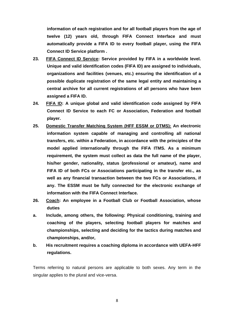**information of each registration and for all football players from the age of twelve (12) years old, through FIFA Connect Interface and must automatically provide a FIFA ID to every football player, using the FIFA Connect ID Service platform .**

- **23. FIFA Connect ID Service: Service provided by FIFA in a worldwide level. Unique and valid identification codes (FIFA ID) are assigned to individuals, organizations and facilities (venues, etc.) ensuring the identification of a possible duplicate registration of the same legal entity and maintaining a central archive for all current registrations of all persons who have been assigned a FIFA ID.**
- **24. FIFA ID: A unique global and valid identification code assigned by FIFA Connect ID Service to each FC or Association, Federation and football player.**
- **25. Domestic Transfer Matching System (HFF ESSM or DTMS): An electronic information system capable of managing and controlling all national transfers, etc. within a Federation, in accordance with the principles of the model applied internationally through the FIFA ITMS. As a minimum requirement, the system must collect as data the full name of the player, his/her gender, nationality, status (professional or amateur), name and FIFA ID of both FCs or Associations participating in the transfer etc., as well as any financial transaction between the two FCs or Associations, if any. The ESSM must be fully connected for the electronic exchange of information with the FIFA Connect Interface.**
- **26. Coach: An employee in a Football Club or Football Association, whose duties**
- **a. Include, among others, the following: Physical conditioning, training and coaching of the players, selecting football players for matches and championships, selecting and deciding for the tactics during matches and championships, and/or,**
- **b. His recruitment requires a coaching diploma in accordance with UEFA-HFF regulations.**

Terms referring to natural persons are applicable to both sexes. Any term in the singular applies to the plural and vice-versa.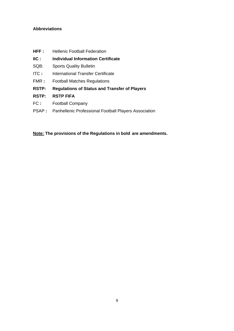#### **Abbreviations**

- **HFF:** Hellenic Football Federation
- **IIC : Individual Information Certificate**
- SQB: Sports Quality Bulletin
- ITC **:** International Transfer Certificate
- FMR **:** Football Matches Regulations
- **RSTP: Regulations of Status and Transfer of Players**
- **RSTP: RSTP FIFA**
- FC **:** Football Company
- PSAP **:** Panhellenic Professional Football Players Association

**Note: The provisions of the Regulations in bold are amendments.**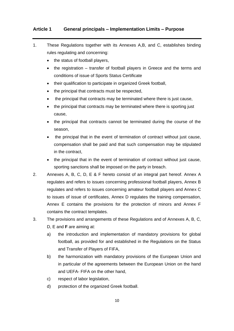#### <span id="page-9-0"></span>**Article 1 General principals – Implementation Limits – Purpose**

- 1. These Regulations together with its Annexes A,B, and C, establishes binding rules regulating and concerning:
	- the status of football players,
	- the registration transfer of football players in Greece and the terms and conditions of issue of Sports Status Certificate
	- their qualification to participate in organized Greek football,
	- the principal that contracts must be respected,
	- the principal that contracts may be terminated where there is just cause,
	- the principal that contracts may be terminated where there is sporting just cause,
	- the principal that contracts cannot be terminated during the course of the season,
	- the principal that in the event of termination of contract without just cause, compensation shall be paid and that such compensation may be stipulated in the contract,
	- the principal that in the event of termination of contract without just cause, sporting sanctions shall be imposed on the party in breach.
- 2. Annexes A, B, C, D, E & F hereto consist of an integral part hereof. Annex A regulates and refers to issues concerning professional football players, Annex B regulates and refers to issues concerning amateur football players and Annex C to issues of issue of certificates, Annex D regulates the training compensation, Annex E contains the provisions for the protection of minors and Annex F contains the contract templates.
- 3. The provisions and arrangements of these Regulations and of Annexes A, B, C, D, E and **F** are aiming at:
	- a) the introduction and implementation of mandatory provisions for global football, as provided for and established in the Regulations on the Status and Transfer of Players of FIFA,
	- b) the harmonization with mandatory provisions of the European Union and in particular of the agreements between the European Union on the hand and UEFA- FIFA on the other hand,
	- c) respect of labor legislation,
	- d) protection of the organized Greek football.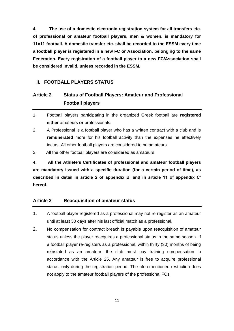**4. The use of a domestic electronic registration system for all transfers etc. of professional or amateur football players, men & women, is mandatory for 11x11 football. A domestic transfer etc. shall be recorded to the ESSM every time a football player is registered in a new FC or Association, belonging to the same Federation. Every registration of a football player to a new FC/Association shall be considered invalid, unless recorded in the ESSM.** 

#### **II. FOOTBALL PLAYERS STATUS**

## <span id="page-10-0"></span>**Article 2 Status of Football Players: Amateur and Professional Football players**

- 1. Football players participating in the organized Greek football are **registered either** amateurs **or** professionals.
- 2. A Professional is a football player who has a written contract with a club and is **remunerated** more for his football activity than the expenses he effectively incurs. All other football players are considered to be amateurs.
- 3. All the other football players are considered as amateurs.

**4. All the Athlete's Certificates of professional and amateur football players are mandatory issued with a specific duration (for a certain period of time), as described in detail in article 2 of appendix B' and in article 11 of appendix C' hereof.**

#### <span id="page-10-1"></span>**Article 3 Reacquisition of amateur status**

- 1. A football player registered as a professional may not re-register as an amateur until at least 30 days after his last official match as a professional.
- 2. No compensation for contract breach is payable upon reacquisition of amateur status unless the player reacquires a professional status in the same season. If a football player re-registers as a professional, within thirty (30) months of being reinstated as an amateur, the club must pay training compensation in accordance with the Article 25. Any amateur is free to acquire professional status, only during the registration period. The aforementioned restriction does not apply to the amateur football players of the professional FCs.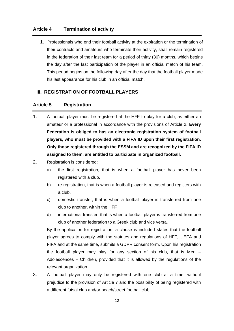#### <span id="page-11-0"></span>**Article 4 Termination of activity**

1. Professionals who end their football activity at the expiration or the termination of their contracts and amateurs who terminate their activity, shall remain registered in the federation of their last team for a period of thirty (30) months, which begins the day after the last participation of the player in an official match of his team. This period begins on the following day after the day that the football player made his last appearance for his club in an official match.

#### **III. REGISTRATION OF FOOTBALL PLAYERS**

#### <span id="page-11-1"></span>**Article 5 Registration**

- 1. A football player must be registered at the HFF to play for a club, as either an amateur or a professional in accordance with the provisions of Article 2. **Every Federation is obliged to has an electronic registration system of football players, who must be provided with a FIFA ID upon their first registration. Only those registered through the ESSM and are recognized by the FIFA ID assigned to them, are entitled to participate in organized football.**
- 2. Registration is considered:
	- a) the first registration, that is when a football player has never been registered with a club,
	- b) re-registration, that is when a football player is released and registers with a club,
	- c) domestic transfer, that is when a football player is transferred from one club to another, within the HFF
	- d) international transfer, that is when a football player is transferred from one club of another federation to a Greek club and vice versa.

By the application for registration, a clause is included states that the football player agrees to comply with the statutes and regulations of HFF, UEFA and FIFA and at the same time, submits a GDPR consent form. Upon his registration the football player may play for any section of his club, that is Men – Adolescences – Children, provided that it is allowed by the regulations of the relevant organization.

3. A football player may only be registered with one club at a time, without prejudice to the provision of Article 7 and the possibility of being registered with a different futsal club and/or beach/street football club.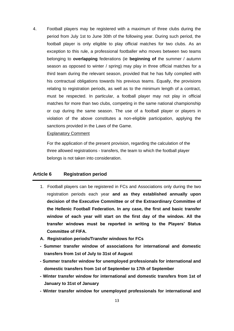4. Football players may be registered with a maximum of three clubs during the period from July 1st to June 30th of the following year. During such period, the football player is only eligible to play official matches for two clubs. As an exception to this rule, a professional footballer who moves between two teams belonging to **overlapping** federations (ie **beginning of** the summer / autumn season as opposed to winter / spring) may play in three official matches for a third team during the relevant season, provided that he has fully complied with his contractual obligations towards his previous teams. Equally, the provisions relating to registration periods, as well as to the minimum length of a contract, must be respected. In particular, a football player may not play in official matches for more than two clubs, competing in the same national championship or cup during the same season. The use of a football player or players in violation of the above constitutes a non-eligible participation, applying the sanctions provided in the Laws of the Game.

#### Explanatory Comment

For the application of the present provision, regarding the calculation of the three allowed registrations - transfers, the team to which the football player belongs is not taken into consideration.

#### <span id="page-12-0"></span>**Article 6 Registration period**

- 1. Football players can be registered in FCs and Associations only during the two registration periods each year **and as they established annually upon decision of the Executive Committee or of the Extraordinary Committee of the Hellenic Football Federation. In any case, the first and basic transfer window of each year will start on the first day of the window. All the transfer windows must be reported in writing to the Players' Status Committee of FIFA.**
- **A. Registration periods/Transfer windows for FCs**
- **- Summer transfer window of associations for international and domestic transfers from 1st of July to 31st of August**
- **- Summer transfer window for unemployed professionals for international and domestic transfers from 1st of September to 17th of September**
- **- Winter transfer window for international and domestic transfers from 1st of January to 31st of January**
- **- Winter transfer window for unemployed professionals for international and**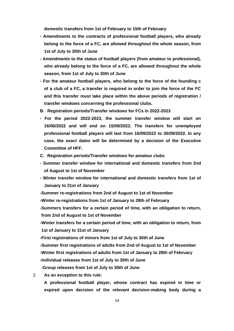**domestic transfers from 1st of February to 15th of February**

- **- Amendments to the contracts of professional football players, who already belong to the force of a FC, are allowed throughout the whole season, from 1st of July to 30th of June**
- **- Amendments to the status of football players (from amateur to professional), who already belong to the force of a FC, are allowed throughout the whole season, from 1st of July to 30th of June**
- **- For the amateur football players, who belong to the force of the founding c of a club of a FC, a transfer is required in order to join the force of the FC and this transfer must take place within the above periods of registration / transfer windows concerning the professional clubs.**
- **B. Registration periods/Transfer windows for FCs in 2022-2023**
- **- For the period 2022-2023, the summer transfer window will start on 16/06/2022 and will end on 15/09/2022. The transfers for unemployed professional football players will last from 16/09/2022 to 30/09/2022. In any case, the exact dates will be determined by a decision of the Executive Committee of HFF.**
- **C. Registration periods/Transfer windows for amateur clubs**
- **- Summer transfer window for international and domestic transfers from 2nd of August to 1st of November**
- **- Winter transfer window for international and domestic transfers from 1st of January to 31st of January**

**-Summer re-registrations from 2nd of August to 1st of November**

- **-Winter re-registrations from 1st of January to 28th of February**
- **-Summers transfers for a certain period of time, with an obligation to return, from 2nd of August to 1st of November**

**-Winter transfers for a certain period of time, with an obligation to return, from 1st of January to 31st of January**

**-First registrations of minors from 1st of July to 30th of June**

**-Summer first registrations of adults from 2nd of August to 1st of November -Winter first registrations of adults from 1st of January to 28th of February**

**-Individual releases from 1st of July to 30th of June**

**-Group releases from 1st of July to 30th of June**

2. **As an exception to this rule:**

**A professional football player, whose contract has expired in time or expired upon decision of the relevant decision-making body during a**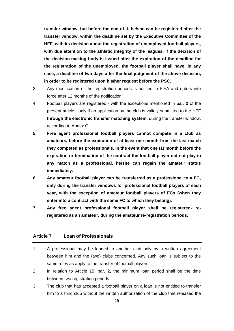**transfer window, but before the end of it, he/she can be registered after the transfer window, within the deadline set by the Executive Committee of the HFF, with its decision about the registration of unemployed football players, with due attention to the athletic integrity of the leagues. If the decision of the decision-making body is issued after the expiration of the deadline for the registration of the unemployed, the football player shall have, in any case, a deadline of two days after the final judgment of the above decision, in order to be registered upon his/her request before the PSC.**

- 3. Any modification of the registration periods is notified to FIFA and enters into force after 12 months of the notification.
- 4. Football players are registered with the exceptions mentioned in **par. 2** of the present article - only if an application by the club is validly submitted to the HFF **through the electronic transfer matching system,** during the transfer window, according to Annex C.
- **5. Free agent professional football players cannot compete in a club as amateurs, before the expiration of at least one month from the last match they competed as professionals. In the event that one (1) month before the expiration or termination of the contract the football player did not play in any match as a professional, he/she can regain the amateur status immediately.**
- **6. Any amateur football player can be transferred as a professional to a FC, only during the transfer windows for professional football players of each year, with the exception of amateur football players of FCs (when they enter into a contract with the same FC to which they belong).**
- **7. Any free agent professional football player shall be registered- reregistered as an amateur, during the amateur re-registration periods.**

#### <span id="page-14-0"></span>**Article 7 Loan of Professionals**

- 1. A professional may be loaned to another club only by a written agreement between him and the (two) clubs concerned. Any such loan is subject to the same rules as apply to the transfer of football players.
- 2. In relation to Article 15, par. 2, the minimum loan period shall be the time between two registration periods.
- 3. The club that has accepted a football player on a loan is not entitled to transfer him to a third club without the written authorization of the club that released the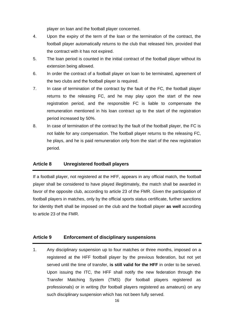player on loan and the football player concerned.

- 4. Upon the expiry of the term of the loan or the termination of the contract, the football player automatically returns to the club that released him, provided that the contract with it has not expired.
- 5. The loan period is counted in the initial contract of the football player without its extension being allowed.
- 6. In order the contract of a football player on loan to be terminated, agreement of the two clubs and the football player is required.
- 7. In case of termination of the contract by the fault of the FC, the football player returns to the releasing FC, and he may play upon the start of the new registration period, and the responsible FC is liable to compensate the remuneration mentioned in his loan contract up to the start of the registration period increased by 50%.
- 8. In case of termination of the contract by the fault of the football player, the FC is not liable for any compensation. The football player returns to the releasing FC, he plays, and he is paid remuneration only from the start of the new registration period.

#### <span id="page-15-0"></span>**Article 8 Unregistered football players**

If a football player, not registered at the HFF, appears in any official match, the football player shall be considered to have played illegitimately, the match shall be awarded in favor of the opposite club, according to article 23 of the FMR. Given the participation of football players in matches, only by the official sports status certificate, further sanctions for identity theft shall be imposed on the club and the football player **as well** according to article 23 of the FMR.

#### <span id="page-15-1"></span>**Article 9 Enforcement of disciplinary suspensions**

1. Any disciplinary suspension up to four matches or three months, imposed on a registered at the HFF football player by the previous federation, but not yet served until the time of transfer, **is still valid for the HFF** in order to be served. Upon issuing the ITC, the HFF shall notify the new federation through the Transfer Matching System (TMS) (for football players registered as professionals) or in writing (for football players registered as amateurs) on any such disciplinary suspension which has not been fully served.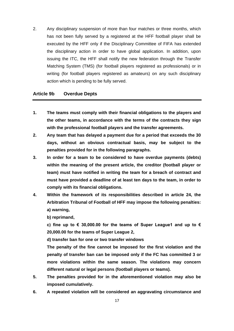2. Any disciplinary suspension of more than four matches or three months, which has not been fully served by a registered at the HFF football player shall be executed by the HFF only if the Disciplinary Committee of FIFA has extended the disciplinary action in order to have global application. In addition, upon issuing the ITC, the HFF shall notify the new federation through the Transfer Matching System (TMS) (for football players registered as professionals) or in writing (for football players registered as amateurs) on any such disciplinary action which is pending to be fully served.

#### **Article 9b Overdue Depts**

- **1. The teams must comply with their financial obligations to the players and the other teams, in accordance with the terms of the contracts they sign with the professional football players and the transfer agreements.**
- **2. Any team that has delayed a payment due for a period that exceeds the 30 days, without an obvious contractual basis, may be subject to the penalties provided for in the following paragraphs.**
- **3. In order for a team to be considered to have overdue payments (debts) within the meaning of the present article, the creditor (football player or team) must have notified in writing the team for a breach of contract and must have provided a deadline of at least ten days to the team, in order to comply with its financial obligations.**
- **4. Within the framework of its responsibilities described in article 24, the Arbitration Tribunal of Football of HFF may impose the following penalties: a) warning,**

**b) reprimand,**

**c) fine up to € 30,000.00 for the teams of Super League1 and up to € 20,000.00 for the teams of Super League 2,**

**d) transfer ban for one or two transfer windows**

**The penalty of the fine cannot be imposed for the first violation and the penalty of transfer ban can be imposed only if the FC has committed 3 or more violations within the same season. The violations may concern different natural or legal persons (football players or teams).**

- **5. The penalties provided for in the aforementioned violation may also be imposed cumulatively.**
- **6. A repeated violation will be considered an aggravating circumstance and**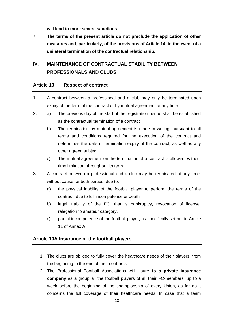**will lead to more severe sanctions.**

**7. The terms of the present article do not preclude the application of other measures and, particularly, of the provisions of Article 14, in the event of a unilateral termination of the contractual relationship**.

## **IV. MAINTENANCE OF CONTRACTUAL STABILITY BETWEEN PROFESSIONALS AND CLUBS**

#### <span id="page-17-0"></span>**Article 10 Respect of contract**

- 1. A contract between a professional and a club may only be terminated upon expiry of the term of the contract or by mutual agreement at any time
- 2. a) The previous day of the start of the registration period shall be established as the contractual termination of a contract.
	- b) The termination by mutual agreement is made in writing, pursuant to all terms and conditions required for the execution of the contract and determines the date of termination-expiry of the contract, as well as any other agreed subject.
	- c) The mutual agreement on the termination of a contract is allowed, without time limitation, throughout its term.
- 3. A contract between a professional and a club may be terminated at any time, without cause for both parties, due to:
	- a) the physical inability of the football player to perform the terms of the contract, due to full incompetence or death,
	- b) legal inability of the FC, that is bankruptcy, revocation of license, relegation to amateur category.
	- c) partial incompetence of the football player, as specifically set out in Article 11 of Annex A.

#### **Article 10A Insurance of the football players**

- 1. The clubs are obliged to fully cover the healthcare needs of their players, from the beginning to the end of their contracts.
- 2. The Professional Football Associations will insure **to a private insurance company** as a group all the football players of all their FC-members, up to a week before the beginning of the championship of every Union, as far as it concerns the full coverage of their healthcare needs. In case that a team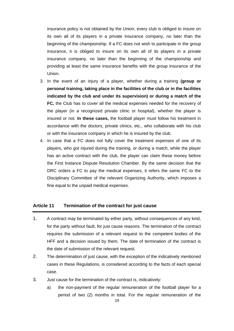insurance policy is not obtained by the Union, every club is obliged to insure on its own all of its players in a private insurance company, no later than the beginning of the championship. If a FC does not wish to participate in the group insurance, it is obliged to insure on its own all of its players in a private insurance company, no later than the beginning of the championship and providing at least the same insurance benefits with the group insurance of the Union.

- 3. In the event of an injury of a player, whether during a training **(group or personal training, taking place in the facilities of the club or in the facilities indicated by the club and under its supervision) or during a match of the FC,** the Club has to cover all the medical expenses needed for the recovery of the player (in a recognized private clinic or hospital), whether the player is insured or not. **In these cases,** the football player must follow his treatment in accordance with the doctors, private clinics, etc., who collaborate with his club or with the insurance company in which he is insured by the club.
- 4. In case that a FC does not fully cover the treatment expenses of one of its players, who got injured during the training, or during a match, while the player has an active contract with the club, the player can claim these money before the First Instance Dispute Resolution Chamber. By the same decision that the DRC orders a FC to pay the medical expenses, it refers the same FC to the Disciplinary Committee of the relevant Organizing Authority, which imposes a fine equal to the unpaid medical expenses.

#### <span id="page-18-0"></span>**Article 11 Termination of the contract for just cause**

- 1. A contract may be terminated by either party, without consequences of any kind, for the party without fault, for just cause reasons. The termination of the contract requires the submission of a relevant request to the competent bodies of the HFF and a decision issued by them. The date of termination of the contract is the date of submission of the relevant request.
- 2. The determination of just cause, with the exception of the indicatively mentioned cases in these Regulations, is considered according to the facts of each special case.
- 3. Just cause for the termination of the contract is, indicatively:
	- a) the non-payment of the regular remuneration of the football player for a period of two (2) months in total. For the regular remuneration of the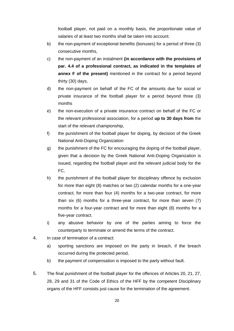football player, not paid on a monthly basis, the proportionate value of salaries of at least two months shall be taken into account.

- b) the non-payment of exceptional benefits (bonuses) for a period of three (3) consecutive months,
- c) the non-payment of an instalment **(in accordance with the provisions of par. 4.4 of a professional contract, as indicated in the templates of annex F of the present)** mentioned in the contract for a period beyond thirty (30) days,
- d) the non-payment on behalf of the FC of the amounts due for social or private insurance of the football player for a period beyond three (3) months
- e) the non-execution of a private insurance contract on behalf of the FC or the relevant professional association, for a period **up to 30 days from** the start of the relevant championship,
- f) the punishment of the football player for doping, by decision of the Greek National Anti-Doping Organization
- g) the punishment of the FC for encouraging the doping of the football player, given that a decision by the Greek National Anti-Doping Organization is issued, regarding the football player and the relevant judicial body for the FC,
- h) the punishment of the football player for disciplinary offence by exclusion for more than eight (8) matches or two (2) calendar months for a one-year contract, for more than four (4) months for a two-year contract, for more than six (6) months for a three-year contract, for more than seven (7) months for a four-year contract and for more than eight (8) months for a five-year contract.
- i) any abusive behavior by one of the parties aiming to force the counterparty to terminate or amend the terms of the contract.
- 4. In case of termination of a contract:
	- a) sporting sanctions are imposed on the party in breach, if the breach occurred during the protected period,
	- b) the payment of compensation is imposed to the party without fault.
- 5. The final punishment of the football player for the offences of Articles 20, 21, 27, 28, 29 and 31 of the Code of Ethics of the HFF by the competent Disciplinary organs of the HFF consists just cause for the termination of the agreement.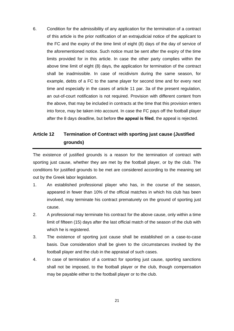6. Condition for the admissibility of any application for the termination of a contract of this article is the prior notification of an extrajudicial notice of the applicant to the FC and the expiry of the time limit of eight (8) days of the day of service of the aforementioned notice. Such notice must be sent after the expiry of the time limits provided for in this article. In case the other party complies within the above time limit of eight (8) days, the application for termination of the contract shall be inadmissible. In case of recidivism during the same season, for example, debts of a FC to the same player for second time and for every next time and especially in the cases of article 11 par. 3a of the present regulation, an out-of-court notification is not required. Provision with different content from the above, that may be included in contracts at the time that this provision enters into force, may be taken into account. In case the FC pays off the football player after the 8 days deadline, but before **the appeal is filed**, the appeal is rejected.

## <span id="page-20-0"></span>**Article 12 Termination of Contract with sporting just cause (Justified grounds)**

The existence of justified grounds is a reason for the termination of contract with sporting just cause, whether they are met by the football player, or by the club. The conditions for justified grounds to be met are considered according to the meaning set out by the Greek labor legislation.

- 1. An established professional player who has, in the course of the season, appeared in fewer than 10% of the official matches in which his club has been involved, may terminate his contract prematurely on the ground of sporting just cause.
- 2. A professional may terminate his contract for the above cause, only within a time limit of fifteen (15) days after the last official match of the season of the club with which he is registered.
- 3. The existence of sporting just cause shall be established on a case-to-case basis. Due consideration shall be given to the circumstances invoked by the football player and the club in the appraisal of such cases.
- 4. In case of termination of a contract for sporting just cause, sporting sanctions shall not be imposed, to the football player or the club, though compensation may be payable either to the football player or to the club.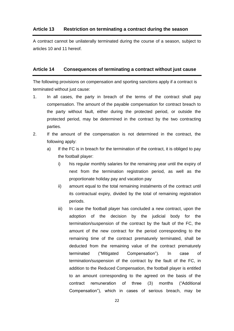#### <span id="page-21-0"></span>**Article 13 Restriction on terminating a contract during the season**

A contract cannot be unilaterally terminated during the course of a season, subject to articles 10 and 11 hereof.

#### <span id="page-21-1"></span>**Article 14 Consequences of terminating a contract without just cause**

The following provisions on compensation and sporting sanctions apply if a contract is terminated without just cause:

- 1. In all cases, the party in breach of the terms of the contract shall pay compensation. The amount of the payable compensation for contract breach to the party without fault, either during the protected period, or outside the protected period, may be determined in the contract by the two contracting parties.
- 2. If the amount of the compensation is not determined in the contract, the following apply:
	- a) If the FC is in breach for the termination of the contract, it is obliged to pay the football player:
		- i) his regular monthly salaries for the remaining year until the expiry of next from the termination registration period, as well as the proportionate holiday pay and vacation pay
		- ii) amount equal to the total remaining instalments of the contract until its contractual expiry, divided by the total of remaining registration periods.
		- iii) In case the football player has concluded a new contract, upon the adoption of the decision by the judicial body for the termination/suspension of the contract by the fault of the FC, the amount of the new contract for the period corresponding to the remaining time of the contract prematurely terminated, shall be deducted from the remaining value of the contract prematurely terminated ("Mitigated Compensation"). In case of termination/suspension of the contract by the fault of the FC, in addition to the Reduced Compensation, the football player is entitled to an amount corresponding to the agreed on the basis of the contract remuneration of three (3) months ("Additional Compensation"), which in cases of serious breach, may be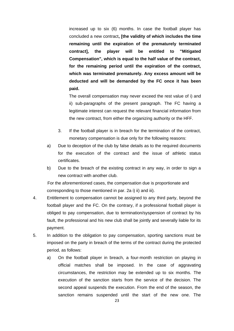increased up to six (6) months. In case the football player has concluded a new contract**, [the validity of which includes the time remaining until the expiration of the prematurely terminated contract], the player will be entitled to "Mitigated Compensation", which is equal to the half value of the contract, for the remaining period until the expiration of the contract, which was terminated prematurely. Any excess amount will be deducted and will be demanded by the FC once it has been paid.**

 The overall compensation may never exceed the rest value of i) and ii) sub-paragraphs of the present paragraph. The FC having a legitimate interest can request the relevant financial information from the new contract, from either the organizing authority or the HFF.

- 3. If the football player is in breach for the termination of the contract, monetary compensation is due only for the following reasons:
- a) Due to deception of the club by false details as to the required documents for the execution of the contract and the issue of athletic status certificates.
- b) Due to the breach of the existing contract in any way, in order to sign a new contract with another club.

 For the aforementioned cases, the compensation due is proportionate and corresponding to those mentioned in par. 2a i) ii) and iii).

- 4. Entitlement to compensation cannot be assigned to any third party, beyond the football player and the FC. On the contrary, if a professional football player is obliged to pay compensation, due to termination/syspension of contract by his fault, the professional and his new club shall be jointly and severally liable for its payment.
- 5. In addition to the obligation to pay compensation, sporting sanctions must be imposed on the party in breach of the terms of the contract during the protected period, as follows:
	- a) On the football player in breach, a four-month restriction on playing in official matches shall be imposed. In the case of aggravating circumstances, the restriction may be extended up to six months. The execution of the sanction starts from the service of the decision. The second appeal suspends the execution. From the end of the season, the sanction remains suspended until the start of the new one. The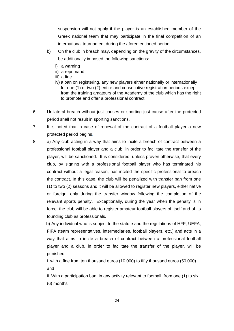suspension will not apply if the player is an established member of the Greek national team that may participate in the final competition of an international tournament during the aforementioned period.

- b) On the club in breach may, depending on the gravity of the circumstances, be additionally imposed the following sanctions:
	- i) a warning
	- ii) a reprimand
	- iii) a fine
	- iv) a ban on registering, any new players either nationally or internationally for one (1) or two (2) entire and consecutive registration periods except from the training amateurs of the Academy of the club which has the right to promote and offer a professional contract.
- 6. Unilateral breach without just causes or sporting just cause after the protected period shall not result in sporting sanctions.
- 7. It is noted that in case of renewal of the contract of a football player a new protected period begins.
- 8. a) Any club acting in a way that aims to incite a breach of contract between a professional football player and a club, in order to facilitate the transfer of the player, will be sanctioned. It is considered, unless proven otherwise, that every club, by signing with a professional football player who has terminated his contract without a legal reason, has incited the specific professional to breach the contract. In this case, the club will be penalized with transfer ban from one (1) to two (2) seasons and it will be allowed to register new players, either native or foreign, only during the transfer window following the completion of the relevant sports penalty. Exceptionally, during the year when the penalty is in force, the club will be able to register amateur football players of itself and of its founding club as professionals.

 b) Any individual who is subject to the statute and the regulations of HFF, UEFA, FIFA (team representatives, intermediaries, football players, etc.) and acts in a way that aims to incite a breach of contract between a professional football player and a club, in order to facilitate the transfer of the player, will be punished:

i. with a fine from ten thousand euros (10,000) to fifty thousand euros (50,000) and

ii. With a participation ban, in any activity relevant to football, from one (1) to six (6) months.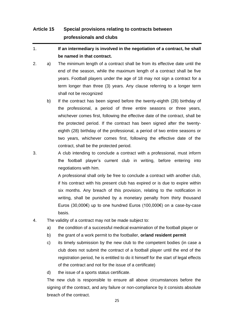## <span id="page-24-0"></span>**Article 15 Special provisions relating to contracts between professionals and clubs**

- 1. **If an intermediary is involved in the negotiation of a contract, he shall be named in that contract.**
- 2. a) The minimum length of a contract shall be from its effective date until the end of the season, while the maximum length of a contract shall be five years. Football players under the age of 18 may not sign a contract for a term longer than three (3) years. Any clause referring to a longer term shall not be recognized
	- b) If the contract has been signed before the twenty-eighth (28) birthday of the professional, a period of three entire seasons or three years, whichever comes first, following the effective date of the contract, shall be the protected period. If the contract has been signed after the twentyeighth (28) birthday of the professional, a period of two entire seasons or two years, whichever comes first, following the effective date of the contract, shall be the protected period.
- 3. A club intending to conclude a contract with a professional, must inform the football player's current club in writing, before entering into negotiations with him.

A professional shall only be free to conclude a contract with another club, if his contract with his present club has expired or is due to expire within six months. Any breach of this provision, relating to the notification in writing, shall be punished by a monetary penalty from thirty thousand Euros (30,000€) up to one hundred Euros (100,000€) on a case-by-case basis.

- 4. The validity of a contract may not be made subject to:
	- a) the condition of a successful medical examination of the football player or
	- b) the grant of a work permit to the footballer, **or/and resident permit**
	- c) its timely submission by the new club to the competent bodies (in case a club does not submit the contract of a football player until the end of the registration period, he is entitled to do it himself for the start of legal effects of the contract and not for the issue of a certificate)
	- d) the issue of a sports status certificate.

The new club is responsible to ensure all above circumstances before the signing of the contract, and any failure or non-compliance by it consists absolute breach of the contract.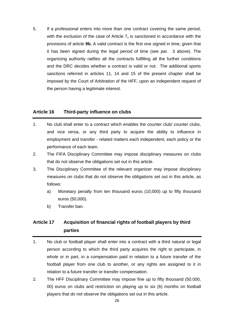5. If a professional enters into more than one contract covering the same period, with the exclusion of the case of Article 7**,** is sanctioned in accordance with the provisions of article **9b.** A valid contract is the first one signed in time, given that it has been signed during the legal period of time (see par. 3 above). The organizing authority ratifies all the contracts fulfilling all the further conditions and the DRC decides whether a contract is valid or not. The additional sports sanctions referred in articles 11, 14 and 15 of the present chapter shall be imposed by the Court of Arbitration of the HFF, upon an independent request of the person having a legitimate interest.

#### <span id="page-25-0"></span>**Article 16 Third-party influence on clubs**

- 1. No club shall enter to a contract which enables the counter club/ counter clubs, and vice versa, or any third party to acquire the ability to influence in employment and transfer - related matters each independent, each policy or the performance of each team.
- 2. The FIFA Disciplinary Committee may impose disciplinary measures on clubs that do not observe the obligations set out in this article.
- 3. The Disciplinary Committee of the relevant organizer may impose disciplinary measures on clubs that do not observe the obligations set out in this article, as follows:
	- a) Monetary penalty from ten thousand euros (10,000) up to fifty thousand euros (50,000).
	- b) Transfer ban.

### <span id="page-25-1"></span>**Article 17 Acquisition of financial rights of football players by third parties**

- 1. No club or football player shall enter into a contract with a third natural or legal person according to which the third party acquires the right to participate, in whole or in part, in a compensation paid in relation to a future transfer of the football player from one club to another, or any rights are assigned to it in relation to a future transfer or transfer compensation.
- 2. The HFF Disciplinary Committee may impose fine up to fifty thousand (50.000, 00) euros on clubs and restriction on playing up to six (6) months on football players that do not observe the obligations set out in this article.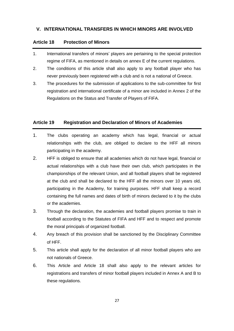#### **V. INTERNATIONAL TRANSFERS IN WHICH MINORS ARE INVOLVED**

#### <span id="page-26-0"></span>**Article 18 Protection of Minors**

- 1. International transfers of minors' players are pertaining to the special protection regime of FIFA, as mentioned in details on annex E of the current regulations.
- 2. The conditions of this article shall also apply to any football player who has never previously been registered with a club and is not a national of Greece.
- 3. The procedures for the submission of applications to the sub-committee for first registration and international certificate of a minor are included in Annex 2 of the Regulations on the Status and Transfer of Players of FIFA.

#### <span id="page-26-1"></span>**Article 19 Registration and Declaration of Minors of Academies**

- 1. The clubs operating an academy which has legal, financial or actual relationships with the club, are obliged to declare to the HFF all minors participating in the academy.
- 2. HFF is obliged to ensure that all academies which do not have legal, financial or actual relationships with a club have their own club, which participates in the championships of the relevant Union, and all football players shall be registered at the club and shall be declared to the HFF all the minors over 10 years old, participating in the Academy, for training purposes. HFF shall keep a record containing the full names and dates of birth of minors declared to it by the clubs or the academies.
- 3. Through the declaration, the academies and football players promise to train in football according to the Statutes of FIFA and HFF and to respect and promote the moral principals of organized football.
- 4. Any breach of this provision shall be sanctioned by the Disciplinary Committee of HFF.
- 5. This article shall apply for the declaration of all minor football players who are not nationals of Greece.
- 6. This Article and Article 18 shall also apply to the relevant articles for registrations and transfers of minor football players included in Annex A and B to these regulations.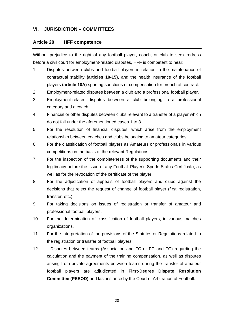#### **VI. JURISDICTION – COMMITTEES**

#### <span id="page-27-0"></span>**Article 20 HFF competence**

Without prejudice to the right of any football player, coach, or club to seek redress before a civil court for employment-related disputes, HFF is competent to hear:

- 1. Disputes between clubs and football players in relation to the maintenance of contractual stability **(articles 10-15),** and the health insurance of the football players **(article 10A)** sporting sanctions or compensation for breach of contract.
- 2. Employment-related disputes between a club and a professional football player.
- 3. Employment-related disputes between a club belonging to a professional category and a coach.
- 4. Financial or other disputes between clubs relevant to a transfer of a player which do not fall under the aforementioned cases 1 to 3.
- 5. For the resolution of financial disputes, which arise from the employment relationship between coaches and clubs belonging to amateur categories.
- 6. For the classification of football players as Amateurs or professionals in various competitions on the basis of the relevant Regulations.
- 7. For the inspection of the completeness of the supporting documents and their legitimacy before the issue of any Football Player's Sports Status Certificate, as well as for the revocation of the certificate of the player.
- 8. For the adjudication of appeals of football players and clubs against the decisions that reject the request of change of football player (first registration, transfer, etc.)
- 9. For taking decisions on issues of registration or transfer of amateur and professional football players.
- 10. For the determination of classification of football players, in various matches organizations.
- 11. For the interpretation of the provisions of the Statutes or Regulations related to the registration or transfer of football players.
- 12. Disputes between teams (Association and FC or FC and FC) regarding the calculation and the payment of the training compensation, as well as disputes arising from private agreements between teams during the transfer of amateur football players are adjudicated in **First-Degree Dispute Resolution Committee (PEEOD)** and last instance by the Court of Arbitration of Football.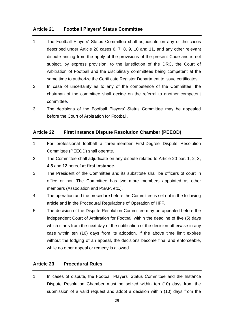#### <span id="page-28-0"></span>**Article 21 Football Players' Status Committee**

- 1. The Football Players' Status Committee shall adjudicate on any of the cases described under Article 20 cases 6, 7, 8, 9, 10 and 11, and any other relevant dispute arising from the apply of the provisions of the present Code and is not subject, by express provision, to the jurisdiction of the DRC, the Court of Arbitration of Football and the disciplinary committees being competent at the same time to authorize the Certificate Register Department to issue certificates.
- 2. In case of uncertainty as to any of the competence of the Committee, the chairman of the committee shall decide on the referral to another competent committee.
- 3. The decisions of the Football Players' Status Committee may be appealed before the Court of Arbitration for Football.

#### <span id="page-28-1"></span>**Article 22 First Instance Dispute Resolution Chamber (PEEOD)**

- 1. For professional football a three-member First-Degree Dispute Resolution Committee (PEEOD) shall operate.
- 2. The Committee shall adjudicate on any dispute related to Article 20 par. 1, 2, 3, 4,**5** and **12** hereof **at first instance.**
- 3. The President of the Committee and its substitute shall be officers of court in office or not. The Committee has two more members appointed as other members (Association and PSAP, etc.).
- 4. The operation and the procedure before the Committee is set out in the following article and in the Procedural Regulations of Operation of HFF.
- 5. The decision of the Dispute Resolution Committee may be appealed before the independent Court of Arbitration for Football within the deadline of five (5) days which starts from the next day of the notification of the decision otherwise in any case within ten (10) days from its adoption. If the above time limit expires without the lodging of an appeal, the decisions become final and enforceable, while no other appeal or remedy is allowed.

#### <span id="page-28-2"></span>**Article 23 Procedural Rules**

1. In cases of dispute, the Football Players' Status Committee and the Instance Dispute Resolution Chamber must be seized within ten (10) days from the submission of a valid request and adopt a decision within (10) days from the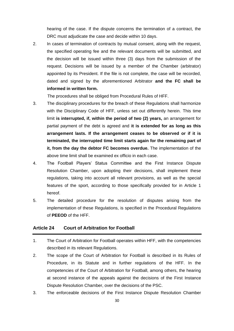hearing of the case. If the dispute concerns the termination of a contract, the DRC must adjudicate the case and decide within 10 days.

2. In cases of termination of contracts by mutual consent, along with the request, the specified operating fee and the relevant documents will be submitted, and the decision will be issued within three (3) days from the submission of the request. Decisions will be issued by a member of the Chamber (arbitrator) appointed by its President. If the file is not complete, the case will be recorded, dated and signed by the aforementioned Arbitrator **and the FC shall be informed in written form.**

The procedures shall be obliged from Procedural Rules of HFF.

- 3. The disciplinary procedures for the breach of these Regulations shall harmonize with the Disciplinary Code of HFF, unless set out differently herein. This time limit **is interrupted, if, within the period of two (2) years,** an arrangement for partial payment of the debt is agreed and **it is extended for as long as this arrangement lasts. If the arrangement ceases to be observed or if it is terminated, the interrupted time limit starts again for the remaining part of it, from the day the debtor FC becomes overdue.** The implementation of the above time limit shall be examined ex officio in each case.
- 4. The Football Players' Status Committee and the First Instance Dispute Resolution Chamber, upon adopting their decisions, shall implement these regulations, taking into account all relevant provisions, as well as the special features of the sport, according to those specifically provided for in Article 1 hereof.
- 5. The detailed procedure for the resolution of disputes arising from the implementation of these Regulations, is specified in the Procedural Regulations of **PEEOD** of the HFF.

#### <span id="page-29-0"></span>**Article 24 Court of Arbitration for Football**

- 1. The Court of Arbitration for Football operates within HFF, with the competencies described in its relevant Regulations.
- 2. The scope of the Court of Arbitration for Football is described in its Rules of Procedure, in its Statute and in further regulations of the HFF. In the competencies of the Court of Arbitration for Football, among others, the hearing at second instance of the appeals against the decisions of the First Instance Dispute Resolution Chamber, over the decisions of the PSC.
- 3. The enforceable decisions of the First Instance Dispute Resolution Chamber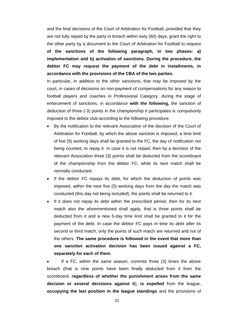and the final decisions of the Court of Arbitration for Football, provided that they are not fully repaid by the party in breach within sixty (60) days, grant the right to the other party by a document to the Court of Arbitration for Football to request **of the sanctions of the following paragraph, in two phases: a) implementation and b) activation of sanctions. During the procedure, the debtor FC may request the payment of the debt in installments, in accordance with the provisions of the CBA of the two parties.**

In particular, in addition to the other sanctions, that may be imposed by the court, in cases of decisions on non-payment of compensations for any reason to football players and coaches in Professional Category, during the stage of enforcement of sanctions, in accordance **with the following,** the sanction of deduction of three (-3) points in the championship it participates is compulsorily imposed to the debtor club according to the following procedure:

- By the notification to the relevant Association of the decision of the Court of Arbitration for Football, by which the above sanction is imposed, a time limit of five (5) working days shall be granted to the FC, the day of notification not being counted, to repay it. In case it is not repaid, then by a decision of the relevant Association three (3) points shall be deducted from the scoreboard of the championship from the debtor FC, while its next match shall be normally conducted.
- If the debtor FC repays its debt, for which the deduction of points was imposed, within the next five (5) working days from the day the match was conducted (this day not being included), the points shall be returned to it.
- If it does not repay its debt within the prescribed period, then for its next match also the aforementioned shall apply, that is three points shall be deducted from it and a new 5-day time limit shall be granted to it for the payment of the debt. In case the debtor FC pays in time its debt after its second or third match, only the points of such match are returned and not of the others. **The same procedure is followed in the event that more than one sanction activation decision has been issued against a FC, separately for each of them.**

If a FC, within the same season, commits three (3) times the above breach (that is nine points have been finally deducted from it from the scoreboard, **regardless of whether the punishment arises from the same decision or several decisions against it**), **is expelled** from the league, **occupying the last position in the league standings** and the provisions of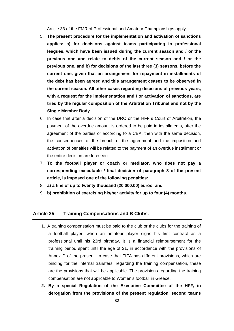Article 33 of the FMR of Professional and Amateur Championships apply.

- 5. **The present procedure for the implementation and activation of sanctions applies: a) for decisions against teams participating in professional leagues, which have been issued during the current season and / or the previous one and relate to debts of the current season and / or the previous one, and b) for decisions of the last three (3) seasons, before the current one, given that an arrangement for repayment in installments of the debt has been agreed and this arrangement ceases to be observed in the current season. All other cases regarding decisions of previous years, with a request for the implementation and / or activation of sanctions, are tried by the regular composition of the Arbitration Tribunal and not by the Single Member Body.**
- 6. In case that after a decision of the DRC or the HFF`s Court of Arbitration, the payment of the overdue amount is ordered to be paid in installments, after the agreement of the parties or according to a CBA, then with the same decision, the consequences of the breach of the agreement and the imposition and activation of penalties will be related to the payment of an overdue installment or the entire decision are foreseen.
- 7. **To the football player or coach or mediator, who does not pay a corresponding executable / final decision of paragraph 3 of the present article, is imposed one of the following penalties:**
- 8. **a) a fine of up to twenty thousand (20,000.00) euros; and**
- 9. **b) prohibition of exercising his/her activity for up to four (4) months.**

#### <span id="page-31-0"></span>**Article 25 Training Compensations and B Clubs.**

- 1. A training compensation must be paid to the club or the clubs for the training of a football player, when an amateur player signs his first contract as a professional until his 23rd birthday. It is a financial reimbursement for the training period spent until the age of 21, in accordance with the provisions of Annex D of the present. In case that FIFA has different provisions, which are binding for the internal transfers, regarding the training compensation, these are the provisions that will be applicable. The provisions regarding the training compensation are not applicable to Women's football in Greece.
- **2. By a special Regulation of the Executive Committee of the HFF, in derogation from the provisions of the present regulation, second teams**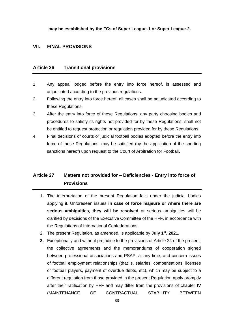**may be established by the FCs of Super League-1 or Super League-2.**

#### **VII. FINAL PROVISIONS**

#### **Article 26 Transitional provisions**

- 1. Any appeal lodged before the entry into force hereof, is assessed and adjudicated according to the previous regulations.
- 2. Following the entry into force hereof, all cases shall be adjudicated according to these Regulations.
- 3. After the entry into force of these Regulations, any party choosing bodies and procedures to satisfy its rights not provided for by these Regulations, shall not be entitled to request protection or regulation provided for by these Regulations.
- 4. Final decisions of courts or judicial football bodies adopted before the entry into force of these Regulations, may be satisfied (by the application of the sporting sanctions hereof) upon request to the Court of Arbitration for Football**.**

## <span id="page-32-0"></span>**Article 27 Matters not provided for – Deficiencies - Entry into force of Provisions**

- 1. The interpretation of the present Regulation falls under the judicial bodies applying it. Unforeseen issues **in case of force majeure or where there are serious ambiguities, they will be resolved** or serious ambiguities will be clarified by decisions of the Executive Committee of the HFF, in accordance with the Regulations of International Confederations.
- 2. The present Regulation, as amended, is applicable by **July 1st , 2021.**
- **3.** Exceptionally and without prejudice to the provisions of Article 24 of the present, the collective agreements and the memorandums of cooperation signed between professional associations and PSAP, at any time, and concern issues of football employment relationships (that is, salaries, compensations, licenses of football players, payment of overdue debts, etc), which may be subject to a different regulation from those provided in the present Regulation apply promptly after their ratification by HFF and may differ from the provisions of chapter **IV** (MAINTENANCE OF CONTRACTUAL STABILITY BETWEEN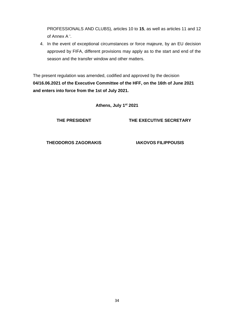PROFESSIONALS AND CLUBS), articles 10 to **15**, as well as articles 11 and 12 of Annex A '.

4. In the event of exceptional circumstances or force majeure, by an EU decision approved by FIFA, different provisions may apply as to the start and end of the season and the transfer window and other matters.

The present regulation was amended, codified and approved by the decision **04/16.06.2021 of the Executive Committee of the HFF, on the 16th of June 2021 and enters into force from the 1st of July 2021.**

**Athens, July 1st 2021**

**THE PRESIDENT**

**THE EXECUTIVE SECRETARY**

**THEODOROS ZAGORAKIS**

**IAKOVOS FILIPPOUSIS**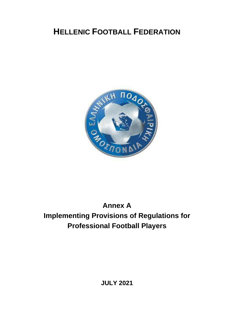## **HELLENIC FOOTBALL FEDERATION**



## <span id="page-34-1"></span><span id="page-34-0"></span>**Annex A Implementing Provisions of Regulations for Professional Football Players**

**JULY 2021**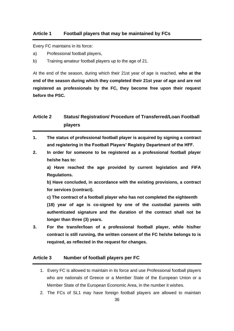#### <span id="page-35-0"></span>**Article 1 Football players that may be maintained by FCs**

Every FC maintains in its force:

- a) Professional football players,
- b) Training amateur football players up to the age of 21.

At the end of the season, during which their 21st year of age is reached, **who at the end of the season during which they completed their 21st year of age and are not registered as professionals by the FC, they become free upon their request before the PSC.**

### <span id="page-35-1"></span>**Article 2 Status/ Registration/ Procedure of Transferred/Loan Football players**

- **1. The status of professional football player is acquired by signing a contract and registering in the Football Players' Registry Department of the HFF.**
- **2. In order for someone to be registered as a professional football player he/she has to:**

**a) Have reached the age provided by current legislation and FIFA Regulations.**

**b) Have concluded, in accordance with the existing provisions, a contract for services (contract).**

**c) The contract of a football player who has not completed the eighteenth (18) year of age is co-signed by one of the custodial parents with authenticated signature and the duration of the contract shall not be longer than three (3) years.**

**3. For the transfer/loan of a professional football player, while his/her contract is still running, the written consent of the FC he/she belongs to is required, as reflected in the request for changes.**

#### <span id="page-35-2"></span>**Article 3 Number of football players per FC**

- 1. Every FC is allowed to maintain in its force and use Professional football players who are nationals of Greece or a Member State of the European Union or a Member State of the European Economic Area, in the number it wishes.
- 2. The FCs of SL1 may have foreign football players are allowed to maintain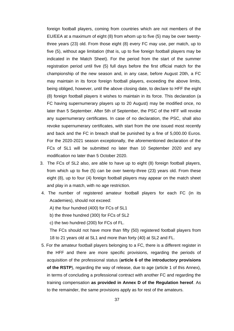foreign football players, coming from countries which are not members of the EU/EEA at a maximum of eight (8) from whom up to five (5) may be over twentythree years (23) old. From those eight (8) every FC may use, per match, up to five (5), without age limitation (that is, up to five foreign football players may be indicated in the Match Sheet). For the period from the start of the summer registration period until five (5) full days before the first official match for the championship of the new season and, in any case, before August 20th, a FC may maintain in its force foreign football players, exceeding the above limits, being obliged, however, until the above closing date, to declare to HFF the eight (8) foreign football players it wishes to maintain in its force. This declaration (a FC having supernumerary players up to 20 August) may be modified once, no later than 5 September. After 5th of September, the PSC of the HFF will revoke any supernumerary certificates. In case of no declaration, the PSC, shall also revoke supernumerary certificates, with start from the one issued most recently and back and the FC in breach shall be punished by a fine of 5,000.00 Euros. For the 2020-2021 season exceptionally, the aforementioned declaration of the FCs of SL1 will be submitted no later than 10 September 2020 and any modification no later than 5 October 2020.

- 3. The FCs of SL2 also, are able to have up to eight (8) foreign football players, from which up to five (5) can be over twenty-three (23) years old. From these eight (8), up to four (4) foreign football players may appear on the match sheet and play in a match, with no age restriction.
- 4. The number of registered amateur football players for each FC (in its Academies), should not exceed:

A) the four hundred (400) for FCs of SL1

b) the three hundred (300) for FCs of SL2

c) the two hundred (200) for FCs of FL.

The FCs should not have more than fifty (50) registered football players from 18 to 21 years old at SL1 and more than forty (40) at SL2 and FL.

5. For the amateur football players belonging to a FC, there is a different register in the HFF and there are more specific provisions, regarding the periods of acquisition of the professional status (**article 6 of the introductory provisions of the RSTP**), regarding the way of release, due to age (article 1 of this Annex), in terms of concluding a professional contract with another FC and regarding the training compensation **as provided in Annex D of the Regulation hereof**. As to the remainder, the same provisions apply as for rest of the amateurs.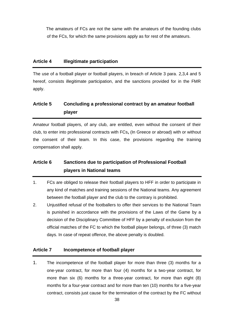The amateurs of FCs are not the same with the amateurs of the founding clubs of the FCs, for which the same provisions apply as for rest of the amateurs.

### **Article 4 Illegitimate participation**

The use of a football player or football players, in breach of Article 3 para. 2,3,4 and 5 hereof, consists illegitimate participation, and the sanctions provided for in the FMR apply.

### **Article 5 Concluding a professional contract by an amateur football player**

Amateur football players, of any club, are entitled, even without the consent of their club, to enter into professional contracts with FCs**,** (In Greece or abroad) with or without the consent of their team. In this case, the provisions regarding the training compensation shall apply.

## **Article 6 Sanctions due to participation of Professional Football players in National teams**

- 1. FCs are obliged to release their football players to HFF in order to participate in any kind of matches and training sessions of the National teams. Any agreement between the football player and the club to the contrary is prohibited.
- 2. Unjustified refusal of the footballers to offer their services to the National Team is punished in accordance with the provisions of the Laws of the Game by a decision of the Disciplinary Committee of HFF by a penalty of exclusion from the official matches of the FC to which the football player belongs, of three (3) match days. In case of repeat offence, the above penalty is doubled.

### **Article 7 Incompetence of football player**

1. The incompetence of the football player for more than three (3) months for a one-year contract, for more than four (4) months for a two-year contract, for more than six (6) months for a three-year contract, for more than eight (8) months for a four-year contract and for more than ten (10) months for a five-year contract, consists just cause for the termination of the contract by the FC without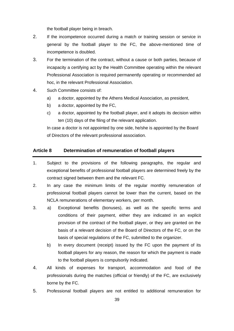the football player being in breach.

- 2. If the incompetence occurred during a match or training session or service in general by the football player to the FC, the above-mentioned time of incompetence is doubled.
- 3. For the termination of the contract, without a cause or both parties, because of incapacity a certifying act by the Health Committee operating within the relevant Professional Association is required permanently operating or recommended ad hoc, in the relevant Professional Association.
- 4. Such Committee consists of:
	- a) a doctor, appointed by the Athens Medical Association, as president,
	- b) a doctor, appointed by the FC,
	- c) a doctor, appointed by the football player, and it adopts its decision within ten (10) days of the filing of the relevant application.

In case a doctor is not appointed by one side, he/she is appointed by the Board of Directors of the relevant professional association.

### **Article 8 Determination of remuneration of football players**

- 1. Subject to the provisions of the following paragraphs, the regular and exceptional benefits of professional football players are determined freely by the contract signed between them and the relevant FC.
- 2. In any case the minimum limits of the regular monthly remuneration of professional football players cannot be lower than the current, based on the NCLA remunerations of elementary workers, per month.
- 3. a) Exceptional benefits (bonuses), as well as the specific terms and conditions of their payment, either they are indicated in an explicit provision of the contract of the football player, or they are granted on the basis of a relevant decision of the Board of Directors of the FC, or on the basis of special regulations of the FC, submitted to the organizer.
	- b) In every document (receipt) issued by the FC upon the payment of its football players for any reason, the reason for which the payment is made to the football players is compulsorily indicated.
- 4. All kinds of expenses for transport, accommodation and food of the professionals during the matches (official or friendly) of the FC, are exclusively borne by the FC.
- 5. Professional football players are not entitled to additional remuneration for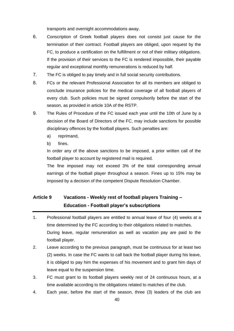transports and overnight accommodations away.

- 6. Conscription of Greek football players does not consist just cause for the termination of their contract. Football players are obliged, upon request by the FC, to produce a certification on the fulfillment or not of their military obligations. If the provision of their services to the FC is rendered impossible, their payable regular and exceptional monthly remunerations is reduced by half.
- 7. The FC is obliged to pay timely and in full social security contributions.
- 8. FCs or the relevant Professional Association for all its members are obliged to conclude insurance policies for the medical coverage of all football players of every club. Such policies must be signed compulsorily before the start of the season, as provided in article 10A of the RSTP.
- 9. The Rules of Procedure of the FC issued each year until the 10th of June by a decision of the Board of Directors of the FC, may include sanctions for possible disciplinary offences by the football players. Such penalties are:
	- a) reprimand,
	- b) fines.

In order any of the above sanctions to be imposed, a prior written call of the football player to account by registered mail is required.

The fine imposed may not exceed 3% of the total corresponding annual earnings of the football player throughout a season. Fines up to 15% may be imposed by a decision of the competent Dispute Resolution Chamber.

## **Article 9 Vacations - Weekly rest of football players Training – Education - Football player's subscriptions**

- 1. Professional football players are entitled to annual leave of four (4) weeks at a time determined by the FC according to their obligations related to matches. During leave, regular remuneration as well as vacation pay are paid to the football player.
- 2. Leave according to the previous paragraph, must be continuous for at least two (2) weeks. In case the FC wants to call back the football player during his leave, it is obliged to pay him the expenses of his movement and to grant him days of leave equal to the suspension time.
- 3. FC must grant to its football players weekly rest of 24 continuous hours, at a time available according to the obligations related to matches of the club.
- 4. Each year, before the start of the season, three (3) leaders of the club are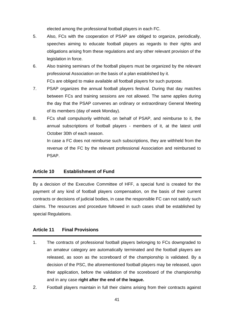elected among the professional football players in each FC.

- 5. Also, FCs with the cooperation of PSAP are obliged to organize, periodically, speeches aiming to educate football players as regards to their rights and obligations arising from these regulations and any other relevant provision of the legislation in force.
- 6. Also training seminars of the football players must be organized by the relevant professional Association on the basis of a plan established by it. FCs are obliged to make available all football players for such purpose.
- 7. PSAP organizes the annual football players festival. During that day matches between FCs and training sessions are not allowed. The same applies during the day that the PSAP convenes an ordinary or extraordinary General Meeting of its members (day of week Monday).
- 8. FCs shall compulsorily withhold, on behalf of PSAP, and reimburse to it, the annual subscriptions of football players - members of it, at the latest until October 30th of each season.

In case a FC does not reimburse such subscriptions, they are withheld from the revenue of the FC by the relevant professional Association and reimbursed to PSAP.

#### **Article 10 Establishment of Fund**

By a decision of the Executive Committee of HFF, a special fund is created for the payment of any kind of football players compensation, on the basis of their current contracts or decisions of judicial bodies, in case the responsible FC can not satisfy such claims. The resources and procedure followed in such cases shall be established by special Regulations.

### **Article 11 Final Provisions**

- 1. The contracts of professional football players belonging to FCs downgraded to an amateur category are automatically terminated and the football players are released, as soon as the scoreboard of the championship is validated. By a decision of the PSC, the aforementioned football players may be released, upon their application, before the validation of the scoreboard of the championship and in any case **right after the end of the league.**
- 2. Football players maintain in full their claims arising from their contracts against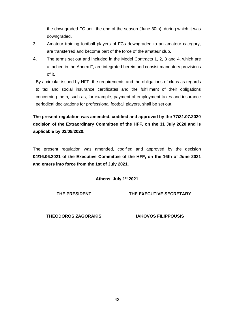the downgraded FC until the end of the season (June 30th), during which it was downgraded.

- 3. Amateur training football players of FCs downgraded to an amateur category, are transferred and become part of the force of the amateur club.
- 4. The terms set out and included in the Model Contracts 1, 2, 3 and 4, which are attached in the Annex F, are integrated herein and consist mandatory provisions of it.

By a circular issued by HFF, the requirements and the obligations of clubs as regards to tax and social insurance certificates and the fulfillment of their obligations concerning them, such as, for example, payment of employment taxes and insurance periodical declarations for professional football players, shall be set out.

**The present regulation was amended, codified and approved by the 77/31.07.2020 decision of the Extraordinary Committee of the HFF, on the 31 July 2020 and is applicable by 03/08/2020.**

The present regulation was amended, codified and approved by the decision **04/16.06.2021 of the Executive Committee of the HFF, on the 16th of June 2021 and enters into force from the 1st of July 2021.**

**Athens, July 1st 2021**

**THE PRESIDENT**

**THE EXECUTIVE SECRETARY**

**THEODOROS ZAGORAKIS**

**IAKOVOS FILIPPOUSIS**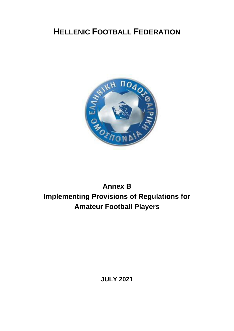# **HELLENIC FOOTBALL FEDERATION**



# **Annex B Implementing Provisions of Regulations for Amateur Football Players**

**JULY 2021**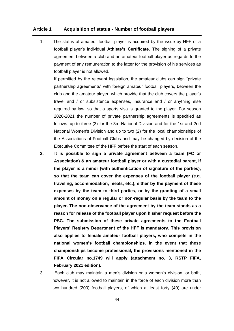### **Article 1 Acquisition of status - Number of football players**

1. The status of amateur football player is acquired by the issue by HFF of a football player's individual **Athlete's Certificate**. The signing of a private agreement between a club and an amateur football player as regards to the payment of any remuneration to the latter for the provision of his services as football player is not allowed.

If permitted by the relevant legislation, the amateur clubs can sign "private partnership agreements" with foreign amateur football players, between the club and the amateur player, which provide that the club covers the player's travel and / or subsistence expenses, insurance and / or anything else required by law, so that a sports visa is granted to the player. For season 2020-2021 the number of private partnership agreements is specified as follows: up to three (3) for the 3rd National Division and for the 1st and 2nd National Women's Division and up to two (2) for the local championships of the Associations of Football Clubs and may be changed by decision of the Executive Committee of the HFF before the start of each season.

- **2. It is possible to sign a private agreement between a team (FC or Association) & an amateur football player or with a custodial parent, if the player is a minor (with authentication of signature of the parties), so that the team can cover the expenses of the football player (e.g. traveling, accommodation, meals, etc.), either by the payment of these expenses by the team to third parties, or by the granting of a small amount of money on a regular or non-regular basis by the team to the player. The non-observance of the agreement by the team stands as a reason for release of the football player upon his/her request before the PSC. The submission of these private agreements to the Football Players' Registry Department of the HFF is mandatory. This provision also applies to female amateur football players, who compete in the national women's football championships. In the event that these championships become professional, the provisions mentioned in the FIFA Circular no.1749 will apply (attachment no. 3, RSTP FIFA, February 2021 edition).**
- 3. Each club may maintain a men's division or a women's division, or both, however, it is not allowed to maintain in the force of each division more than two hundred (200) football players, of which at least forty (40) are under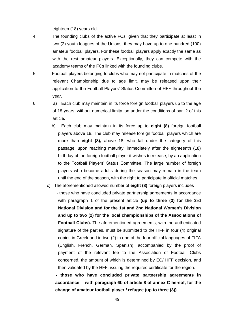eighteen (18) years old.

- 4.The founding clubs of the active FCs, given that they participate at least in two (2) youth leagues of the Unions, they may have up to one hundred (100) amateur football players. For these football players apply exactly the same as with the rest amateur players. Exceptionally, they can compete with the academy teams of the FCs linked with the founding clubs.
- 5. Football players belonging to clubs who may not participate in matches of the relevant Championship due to age limit, may be released upon their application to the Football Players' Status Committee of HFF throughout the year.

- 6. a) Each club may maintain in its force foreign football players up to the age of 18 years, without numerical limitation under the conditions of par. 2 of this article.
	- b) Each club may maintain in its force up to **eight (8)** foreign football players above 18. The club may release foreign football players which are more than **eight (8),** above 18, who fall under the category of this passage, upon reaching maturity, immediately after the eighteenth (18) birthday of the foreign football player it wishes to release, by an application to the Football Players' Status Committee. The large number of foreign players who become adults during the season may remain in the team until the end of the season, with the right to participate in official matches.
	- c) The aforementioned allowed number of **eight (8)** foreign players includes - those who have concluded private partnership agreements in accordance with paragraph 1 of the present article **(up to three (3) for the 3rd National Division and for the 1st and 2nd National Women's Division and up to two (2) for the local championships of the Associations of Football Clubs).** The aforementioned agreements, with the authenticated signature of the parties, must be submitted to the HFF in four (4) original copies in Greek and in two (2) in one of the four official languages of FIFA (English, French, German, Spanish), accompanied by the proof of payment of the relevant fee to the Association of Football Clubs concerned, the amount of which is determined by EC/ HFF decision, and then validated by the HFF, issuing the required certificate for the region.
		- **- those who have concluded private partnership agreements in accordance with paragraph 6b of article 8 of annex C hereof, for the change of amateur football player / refugee (up to three (3)).**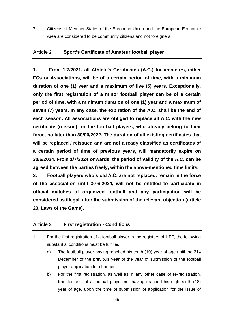7. Citizens of Member States of the European Union and the European Economic Area are considered to be community citizens and not foreigners.

#### **Article 2 Sport's Certificate of Amateur football player**

**1. From 1/7/2021, all Athlete's Certificates (A.C.) for amateurs, either FCs or Associations, will be of a certain period of time, with a minimum duration of one (1) year and a maximum of five (5) years. Exceptionally, only the first registration of a minor football player can be of a certain period of time, with a minimum duration of one (1) year and a maximum of seven (7) years. In any case, the expiration of the A.C. shall be the end of each season. All associations are obliged to replace all A.C. with the new certificate (reissue) for the football players, who already belong to their force, no later than 30/06/2022. The duration of all existing certificates that will be replaced / reissued and are not already classified as certificates of a certain period of time of previous years, will mandatorily expire on 30/6/2024. From 1/7/2024 onwards, the period of validity of the A.C. can be agreed between the parties freely, within the above-mentioned time limits.**

**2. Football players who's old A.C. are not replaced, remain in the force of the association until 30-6-2024, will not be entitled to participate in official matches of organized football and any participation will be considered as illegal, after the submission of the relevant objection (article 23, Laws of the Game).**

### **Article 3 First registration - Conditions**

- 1. For the first registration of a football player in the registers of HFF, the following substantial conditions must be fulfilled:
	- a) The football player having reached his tenth (10) year of age until the  $31_{st}$ December of the previous year of the year of submission of the football player application for changes.
	- b) For the first registration, as well as in any other case of re-registration, transfer, etc. of a football player not having reached his eighteenth (18) year of age, upon the time of submission of application for the issue of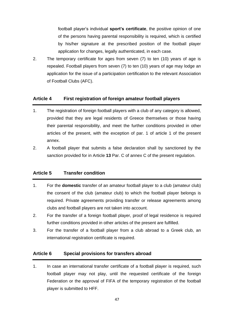football player's individual **sport's certificate**, the positive opinion of one of the persons having parental responsibility is required, which is certified by his/her signature at the prescribed position of the football player application for changes, legally authenticated, in each case.

2. The temporary certificate for ages from seven (7) to ten (10) years of age is repealed. Football players from seven (7) to ten (10) years of age may lodge an application for the issue of a participation certification to the relevant Association of Football Clubs (AFC).

### **Article 4 First registration of foreign amateur football players**

- 1. The registration of foreign football players with a club of any category is allowed, provided that they are legal residents of Greece themselves or those having their parental responsibility, and meet the further conditions provided in other articles of the present, with the exception of par. 1 of article 1 of the present annex.
- 2. A football player that submits a false declaration shall by sanctioned by the sanction provided for in Article **13** Par. C of annex C of the present regulation.

### **Article 5 Transfer condition**

- 1. For the **domestic** transfer of an amateur football player to a club (amateur club) the consent of the club (amateur club) to which the football player belongs is required. Private agreements providing transfer or release agreements among clubs and football players are not taken into account.
- 2. For the transfer of a foreign football player, proof of legal residence is required further conditions provided in other articles of the present are fulfilled.
- 3. For the transfer of a football player from a club abroad to a Greek club, an international registration certificate is required.

### **Article 6 Special provisions for transfers abroad**

1. In case an international transfer certificate of a football player is required, such football player may not play, until the requested certificate of the foreign Federation or the approval of FIFA of the temporary registration of the football player is submitted to HFF.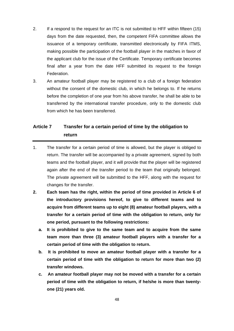- 2. If a respond to the request for an ITC is not submitted to HFF within fifteen (15) days from the date requested, then, the competent FIFA committee allows the issuance of a temporary certificate, transmitted electronically by FIFA ITMS, making possible the participation of the football player in the matches in favor of the applicant club for the issue of the Certificate. Temporary certificate becomes final after a year from the date HFF submitted its request to the foreign Federation.
- 3. An amateur football player may be registered to a club of a foreign federation without the consent of the domestic club, in which he belongs to. If he returns before the completion of one year from his above transfer, he shall be able to be transferred by the international transfer procedure, only to the domestic club from which he has been transferred.

### **Article 7 Transfer for a certain period of time by the obligation to return**

- 1. The transfer for a certain period of time is allowed, but the player is obliged to return. The transfer will be accompanied by a private agreement, signed by both teams and the football player, and it will provide that the player will be registered again after the end of the transfer period to the team that originally belonged. The private agreement will be submitted to the HFF, along with the request for changes for the transfer.
- **2. Each team has the right, within the period of time provided in Article 6 of the introductory provisions hereof, to give to different teams and to acquire from different teams up to eight (8) amateur football players, with a transfer for a certain period of time with the obligation to return, only for one period, pursuant to the following restrictions:**
	- **a. It is prohibited to give to the same team and to acquire from the same team more than three (3) amateur football players with a transfer for a certain period of time with the obligation to return.**
	- **b. It is prohibited to move an amateur football player with a transfer for a certain period of time with the obligation to return for more than two (2) transfer windows.**
	- **c. An amateur football player may not be moved with a transfer for a certain period of time with the obligation to return, if he/she is more than twentyone (21) years old.**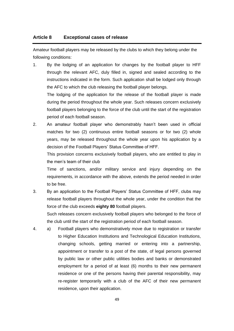### **Article 8 Exceptional cases of release**

Amateur football players may be released by the clubs to which they belong under the following conditions:

1. By the lodging of an application for changes by the football player to HFF through the relevant AFC, duly filled in, signed and sealed according to the instructions indicated in the form. Such application shall be lodged only through the AFC to which the club releasing the football player belongs.

The lodging of the application for the release of the football player is made during the period throughout the whole year. Such releases concern exclusively football players belonging to the force of the club until the start of the registration period of each football season.

2. An amateur football player who demonstrably hasn't been used in official matches for two (2) continuous entire football seasons or for two (2) whole years, may be released throughout the whole year upon his application by a decision of the Football Players' Status Committee of HFF.

This provision concerns exclusively football players, who are entitled to play in the men's team of their club

Time of sanctions, and/or military service and injury depending on the requirements, in accordance with the above, extends the period needed in order to be free.

3. By an application to the Football Players' Status Committee of HFF, clubs may release football players throughout the whole year, under the condition that the force of the club exceeds **eighty 80** football players.

Such releases concern exclusively football players who belonged to the force of the club until the start of the registration period of each football season.

4. a) Football players who demonstratively move due to registration or transfer to Higher Education Institutions and Technological Education Institutions, changing schools, getting married or entering into a partnership, appointment or transfer to a post of the state, of legal persons governed by public law or other public utilities bodies and banks or demonstrated employment for a period of at least (6) months to their new permanent residence or one of the persons having their parental responsibility, may re-register temporarily with a club of the AFC of their new permanent residence, upon their application.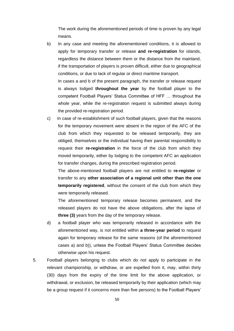The work during the aforementioned periods of time is proven by any legal means.

b) In any case and meeting the aforementioned conditions, it is allowed to apply for temporary transfer or release **and re-registration** for islands, regardless the distance between them or the distance from the mainland, if the transportation of players is proven difficult, either due to geographical conditions, or due to lack of regular or direct maritime transport.

In cases a and b of the present paragraph, the transfer or release request is always lodged **throughout the year** by the football player to the competent Football Players' Status Committee of HFF … throughout the whole year, while the re-registration request is submitted always during the provided re-registration period.

c) In case of re-establishment of such football players, given that the reasons for the temporary movement were absent in the region of the AFC of the club from which they requested to be released temporarily, they are obliged, themselves or the individual having their parental responsibility to request their **re-registration** in the force of the club from which they moved temporarily, either by lodging to the competent AFC an application for transfer changes, during the prescribed registration period.

The above-mentioned football players are not entitled to **re-register** or transfer to any **other association of a regional unit other than the one temporarily registered**, without the consent of the club from which they were temporarily released.

The aforementioned temporary release becomes permanent, and the released players do not have the above obligations, after the lapse of **three (3)** years from the day of the temporary release.

- d) a football player who was temporarily released in accordance with the aforementioned way, is not entitled within **a three-year period** to request again for temporary release for the same reasons (of the aforementioned cases a) and b)), unless the Football Players' Status Committee decides otherwise upon his request.
- 5. Football players belonging to clubs which do not apply to participate in the relevant championship, or withdraw, or are expelled from it, may, within thirty (30) days from the expiry of the time limit for the above application, or withdrawal, or exclusion, be released temporarily by their application (which may be a group request if it concerns more than five persons) to the Football Players'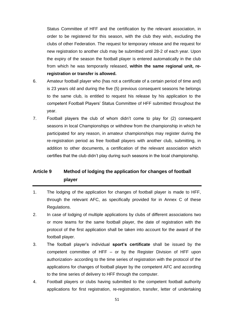Status Committee of HFF and the certification by the relevant association, in order to be registered for this season, with the club they wish, excluding the clubs of other Federation. The request for temporary release and the request for new registration to another club may be submitted until 28-2 of each year. Upon the expiry of the season the football player is entered automatically in the club from which he was temporarily released, **within the same regional unit, reregistration or transfer is allowed.**

- 6. Amateur football player who (has not a certificate of a certain period of time and) is 23 years old and during the five (5) previous consequent seasons he belongs to the same club, is entitled to request his release by his application to the competent Football Players' Status Committee of HFF submitted throughout the year.
- 7. Football players the club of whom didn't come to play for (2) consequent seasons in local Championships or withdrew from the championship in which he participated for any reason, in amateur championships may register during the re-registration period as free football players with another club, submitting, in addition to other documents, a certification of the relevant association which certifies that the club didn't play during such seasons in the local championship.

### **Article 9 Method of lodging the application for changes of football player**

- 1. The lodging of the application for changes of football player is made to HFF, through the relevant AFC, as specifically provided for in Annex C of these Regulations.
- 2. In case of lodging of multiple applications by clubs of different associations two or more teams for the same football player, the date of registration with the protocol of the first application shall be taken into account for the award of the football player.
- 3. The football player's individual **sport's certificate** shall be issued by the competent committee of HFF – or by the Register Division of HFF upon authorization- according to the time series of registration with the protocol of the applications for changes of football player by the competent AFC and according to the time series of delivery to HFF through the computer.
- 4. Football players or clubs having submitted to the competent football authority applications for first registration, re-registration, transfer, letter of undertaking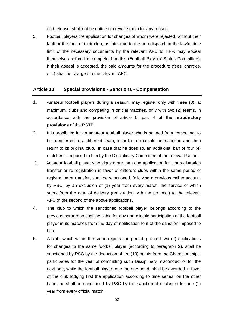and release, shall not be entitled to revoke them for any reason.

5. Football players the application for changes of whom were rejected, without their fault or the fault of their club, as late, due to the non-dispatch in the lawful time limit of the necessary documents by the relevant AFC to HFF, may appeal themselves before the competent bodies (Football Players' Status Committee). If their appeal is accepted, the paid amounts for the procedure (fees, charges, etc.) shall be charged to the relevant AFC.

### **Article 10 Special provisions - Sanctions - Compensation**

- 1. Amateur football players during a season, may register only with three (3), at maximum, clubs and competing in official matches, only with two (2) teams, in accordance with the provision of article 5, par. 4 **of the introductory provisions** of the RSTP.
- 2. It is prohibited for an amateur football player who is banned from competing, to be transferred to a different team, in order to execute his sanction and then return to its original club. In case that he does so, an additional ban of four (4) matches is imposed to him by the Disciplinary Committee of the relevant Union.
- 3. Amateur football player who signs more than one application for first registration transfer or re-registration in favor of different clubs within the same period of registration or transfer, shall be sanctioned, following a previous call to account by PSC, by an exclusion of (1) year from every match, the service of which starts from the date of delivery (registration with the protocol) to the relevant AFC of the second of the above applications.
- 4. The club to which the sanctioned football player belongs according to the previous paragraph shall be liable for any non-eligible participation of the football player in its matches from the day of notification to it of the sanction imposed to him.
- 5. A club, which within the same registration period, granted two (2) applications for changes to the same football player (according to paragraph 2), shall be sanctioned by PSC by the deduction of ten (10) points from the Championship it participates for the year of committing such Disciplinary misconduct or for the next one, while the football player, one the one hand, shall be awarded in favor of the club lodging first the application according to time series, on the other hand, he shall be sanctioned by PSC by the sanction of exclusion for one (1) year from every official match.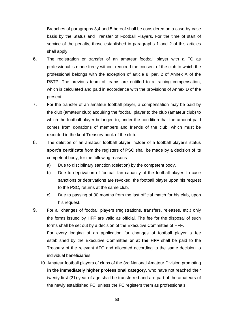Breaches of paragraphs 3,4 and 5 hereof shall be considered on a case-by-case basis by the Status and Transfer of Football Players. For the time of start of service of the penalty, those established in paragraphs 1 and 2 of this articles shall apply.

- 6. The registration or transfer of an amateur football player with a FC as professional is made freely without required the consent of the club to which the professional belongs with the exception of article 8, par. 2 of Annex A of the RSTP. The previous team of teams are entitled to a training compensation, which is calculated and paid in accordance with the provisions of Annex D of the present.
- 7. For the transfer of an amateur football player, a compensation may be paid by the club (amateur club) acquiring the football player to the club (amateur club) to which the football player belonged to, under the condition that the amount paid comes from donations of members and friends of the club, which must be recorded in the kept Treasury book of the club.
- 8. The deletion of an amateur football player, holder of a football player's status **sport's certificate** from the registers of PSC shall be made by a decision of its competent body, for the following reasons:
	- a) Due to disciplinary sanction (deletion) by the competent body.
	- b) Due to deprivation of football fan capacity of the football player. In case sanctions or deprivations are revoked, the football player upon his request to the PSC, returns at the same club.
	- c) Due to passing of 30 months from the last official match for his club, upon his request.
- 9. For all changes of football players (registrations, transfers, releases, etc.) only the forms issued by HFF are valid as official. The fee for the disposal of such forms shall be set out by a decision of the Executive Committee of HFF. For every lodging of an application for changes of football player a fee established by the Executive Committee **or at the HFF** shall be paid to the Treasury of the relevant AFC and allocated according to the same decision to individual beneficiaries.
	- 10. Amateur football players of clubs of the 3rd National Amateur Division promoting **in the immediately higher professional category**, who have not reached their twenty first (21) year of age shall be transferred and are part of the amateurs of the newly established FC, unless the FC registers them as professionals.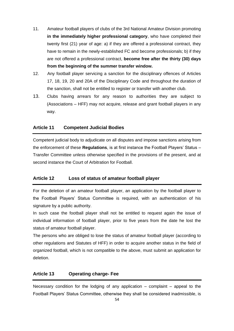- 11. Amateur football players of clubs of the 3rd National Amateur Division promoting **in the immediately higher professional category**, who have completed their twenty first (21) year of age: a) if they are offered a professional contract, they have to remain in the newly-established FC and become professionals; b) if they are not offered a professional contract, **become free after the thirty (30) days from the beginning of the summer transfer window.**
- 12. Any football player servicing a sanction for the disciplinary offences of Articles 17, 18, 19, 20 and 20A of the Disciplinary Code and throughout the duration of the sanction, shall not be entitled to register or transfer with another club.
- 13. Clubs having arrears for any reason to authorities they are subject to (Associations – HFF) may not acquire, release and grant football players in any way.

### **Article 11 Competent Judicial Bodies**

Competent judicial body to adjudicate on all disputes and impose sanctions arising from the enforcement of these **Regulations**, is at first instance the Football Players' Status – Transfer Committee unless otherwise specified in the provisions of the present, and at second instance the Court of Arbitration for Football.

### **Article 12 Loss of status of amateur football player**

For the deletion of an amateur football player, an application by the football player to the Football Players' Status Committee is required, with an authentication of his signature by a public authority.

In such case the football player shall not be entitled to request again the issue of individual information of football player, prior to five years from the date he lost the status of amateur football player.

The persons who are obliged to lose the status of amateur football player (according to other regulations and Statutes of HFF) in order to acquire another status in the field of organized football, which is not compatible to the above, must submit an application for deletion.

### **Article 13 Operating charge- Fee**

Necessary condition for the lodging of any application  $-$  complaint  $-$  appeal to the Football Players' Status Committee, otherwise they shall be considered inadmissible, is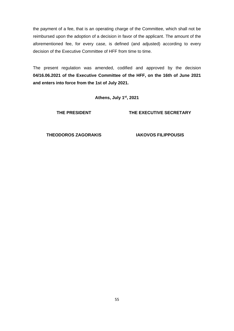the payment of a fee, that is an operating charge of the Committee, which shall not be reimbursed upon the adoption of a decision in favor of the applicant. The amount of the aforementioned fee, for every case, is defined (and adjusted) according to every decision of the Executive Committee of HFF from time to time.

The present regulation was amended, codified and approved by the decision **04/16.06.2021 of the Executive Committee of the HFF, on the 16th of June 2021 and enters into force from the 1st of July 2021.**

**Athens, July 1st, 2021**

**THE PRESIDENT**

**THE EXECUTIVE SECRETARY**

**THEODOROS ZAGORAKIS IAKOVOS FILIPPOUSIS**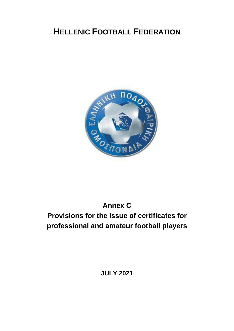# **HELLENIC FOOTBALL FEDERATION**



# **Annex C Provisions for the issue of certificates for professional and amateur football players**

**JULY 2021**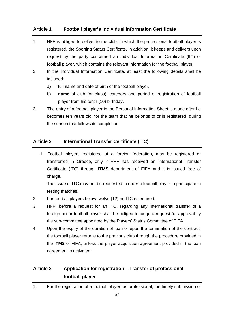### **Article 1 Football player's Individual Information Certificate**

- 1. HFF is obliged to deliver to the club, in which the professional football player is registered, the Sporting Status Certificate. In addition, it keeps and delivers upon request by the party concerned an Individual Information Certificate (IIC) of football player, which contains the relevant information for the football player.
- 2. In the Individual Information Certificate, at least the following details shall be included:
	- a) full name and date of birth of the football player,
	- b) **name** of club (or clubs), category and period of registration of football player from his tenth (10) birthday.
- 3. The entry of a football player in the Personal Information Sheet is made after he becomes ten years old, for the team that he belongs to or is registered, during the season that follows its completion.

### **Article 2 International Transfer Certificate (ITC)**

1. Football players registered at a foreign federation, may be registered or transferred in Greece, only if HFF has received an International Transfer Certificate (ITC) through **ITMS** department of FIFA and it is issued free of charge.

The issue of ITC may not be requested in order a football player to participate in testing matches.

- 2. For football players below twelve (12) no ITC is required.
- 3. HFF, before a request for an ITC, regarding any international transfer of a foreign minor football player shall be obliged to lodge a request for approval by the sub-committee appointed by the Players' Status Committee of FIFA.
- 4. Upon the expiry of the duration of loan or upon the termination of the contract, the football player returns to the previous club through the procedure provided in the **ITMS** of FIFA, unless the player acquisition agreement provided in the loan agreement is activated.

## **Article 3 Application for registration – Transfer of professional football player**

<sup>1.</sup> For the registration of a football player, as professional, the timely submission of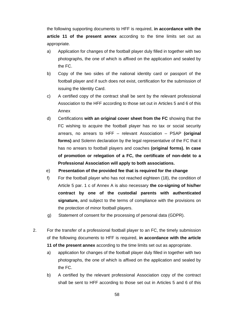the following supporting documents to HFF is required, **in accordance with the article 11 of the present annex** according to the time limits set out as appropriate.

- a) Application for changes of the football player duly filled in together with two photographs, the one of which is affixed on the application and sealed by the FC.
- b) Copy of the two sides of the national identity card or passport of the football player and if such does not exist, certification for the submission of issuing the Identity Card.
- c) A certified copy of the contract shall be sent by the relevant professional Association to the HFF according to those set out in Articles 5 and 6 of this Annex
- d) Certifications **with an original cover sheet from the FC** showing that the FC wishing to acquire the football player has no tax or social security arrears, no arrears to HFF – relevant Association – PSAP **(original forms)** and Solemn declaration by the legal representative of the FC that it has no arrears to football players and coaches **(original forms). In case of promotion or relegation of a FC, the certificate of non-debt to a Professional Association will apply to both associations.**
- e) **Presentation of the provided fee that is required for the change**
- f) For the football player who has not reached eighteen (18), the condition of Article 5 par. 1 c of Annex A is also necessary **the co-signing of his/her contract by one of the custodial parents with authenticated signature,** and subject to the terms of compliance with the provisions on the protection of minor football players.
- g) Statement of consent for the processing of personal data (GDPR).
- 2. For the transfer of a professional football player to an FC, the timely submission of the following documents to HFF is required, **in accordance with the article 11 of the present annex** according to the time limits set out as appropriate.
	- a) application for changes of the football player duly filled in together with two photographs, the one of which is affixed on the application and sealed by the FC.
	- b) A certified by the relevant professional Association copy of the contract shall be sent to HFF according to those set out in Articles 5 and 6 of this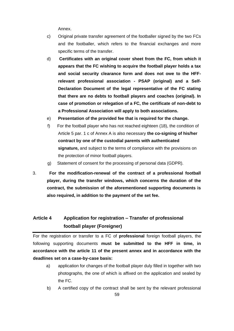Annex.

- c) Original private transfer agreement of the footballer signed by the two FCs and the footballer, which refers to the financial exchanges and more specific terms of the transfer.
- d) **Certificates with an original cover sheet from the FC, from which it appears that the FC wishing to acquire the football player holds a tax and social security clearance form and does not owe to the HFFrelevant professional association - PSAP (original) and a Self-Declaration Document of the legal representative of the FC stating that there are no debts to football players and coaches (original). In case of promotion or relegation of a FC, the certificate of non-debt to a Professional Association will apply to both associations.**
- e) **Presentation of the provided fee that is required for the change.**
- f) For the football player who has not reached eighteen (18), the condition of Article 5 par. 1 c of Annex A is also necessary **the co-signing of his/her contract by one of the custodial parents with authenticated signature,** and subject to the terms of compliance with the provisions on the protection of minor football players.
- g) Statement of consent for the processing of personal data (GDPR).
- 3. **For the modification-renewal of the contract of a professional football player, during the transfer windows, which concerns the duration of the contract, the submission of the aforementioned supporting documents is also required, in addition to the payment of the set fee.**

## **Article 4 Application for registration – Transfer of professional football player (Foreigner)**

For the registration or transfer to a FC of **professional** foreign football players, the following supporting documents **must be submitted to the HFF in time, in accordance with the article 11 of the present annex and in accordance with the deadlines set on a case-by-case basis:**

- a) application for changes of the football player duly filled in together with two photographs, the one of which is affixed on the application and sealed by the FC.
- b) A certified copy of the contract shall be sent by the relevant professional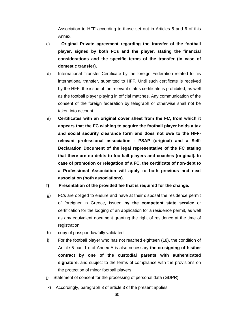Association to HFF according to those set out in Articles 5 and 6 of this Annex.

- c) **Original Private agreement regarding the transfer of the football player, signed by both FCs and the player, stating the financial considerations and the specific terms of the transfer (in case of domestic transfer).**
- d) International Transfer Certificate by the foreign Federation related to his international transfer, submitted to HFF. Until such certificate is received by the HFF, the issue of the relevant status certificate is prohibited, as well as the football player playing in official matches. Any communication of the consent of the foreign federation by telegraph or otherwise shall not be taken into account.
- e) **Certificates with an original cover sheet from the FC, from which it appears that the FC wishing to acquire the football player holds a tax and social security clearance form and does not owe to the HFFrelevant professional association - PSAP (original) and a Self-Declaration Document of the legal representative of the FC stating that there are no debts to football players and coaches (original). In case of promotion or relegation of a FC, the certificate of non-debt to a Professional Association will apply to both previous and next association (both associations).**
- **f) Presentation of the provided fee that is required for the change.**
- g) FCs are obliged to ensure and have at their disposal the residence permit of foreigner in Greece, issued **by the competent state service** or certification for the lodging of an application for a residence permit, as well as any equivalent document granting the right of residence at the time of registration.
- h) copy of passport lawfully validated
- i) For the football player who has not reached eighteen (18), the condition of Article 5 par. 1 c of Annex A is also necessary **the co-signing of his/her contract by one of the custodial parents with authenticated signature,** and subject to the terms of compliance with the provisions on the protection of minor football players.
- j) Statement of consent for the processing of personal data (GDPR).
- k) Accordingly, paragraph 3 of article 3 of the present applies.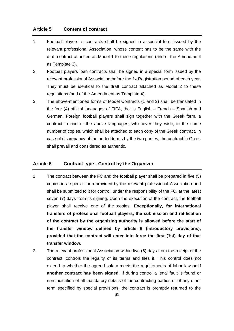### **Article 5 Content of contract**

- 1. Football players' s contracts shall be signed in a special form issued by the relevant professional Association, whose content has to be the same with the draft contract attached as Model 1 to these regulations (and of the Amendment as Template 3).
- 2. Football players loan contracts shall be signed in a special form issued by the relevant professional Association before the 1st Registration period of each year. They must be identical to the draft contract attached as Model 2 to these regulations (and of the Amendment as Template 4).
- 3. The above-mentioned forms of Model Contracts (1 and 2) shall be translated in the four (4) official languages of FIFA, that is English – French – Spanish and German. Foreign football players shall sign together with the Greek form, a contract in one of the above languages, whichever they wish, in the same number of copies, which shall be attached to each copy of the Greek contract. In case of discrepancy of the added terms by the two parties, the contract in Greek shall prevail and considered as authentic.

### **Article 6 Contract type - Control by the Organizer**

- 1. The contract between the FC and the football player shall be prepared in five (5) copies in a special form provided by the relevant professional Association and shall be submitted to it for control, under the responsibility of the FC, at the latest seven (7) days from its signing. Upon the execution of the contract, the football player shall receive one of the copies. **Exceptionally, for international transfers of professional football players, the submission and ratification of the contract by the organizing authority is allowed before the start of the transfer window defined by article 6 (introductory provisions), provided that the contract will enter into force the first (1st) day of that transfer window.**
- 2. The relevant professional Association within five (5) days from the receipt of the contract, controls the legality of its terms and files it. This control does not extend to whether the agreed salary meets the requirements of labor law **or if another contract has been signed**. If during control a legal fault is found or non-indication of all mandatory details of the contracting parties or of any other term specified by special provisions, the contract is promptly returned to the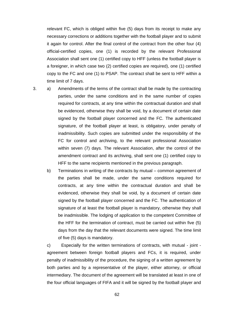relevant FC, which is obliged within five (5) days from its receipt to make any necessary corrections or additions together with the football player and to submit it again for control. After the final control of the contract from the other four (4) official-certified copies, one (1) is recorded by the relevant Professional Association shall sent one (1) certified copy to HFF (unless the football player is a foreigner, in which case two (2) certified copies are required), one (1) certified copy to the FC and one (1) to PSAP. The contract shall be sent to HFF within a time limit of 7 days.

3. a) Amendments of the terms of the contract shall be made by the contracting parties, under the same conditions and in the same number of copies required for contracts, at any time within the contractual duration and shall be evidenced, otherwise they shall be void, by a document of certain date signed by the football player concerned and the FC. The authenticated signature, of the football player at least, is obligatory, under penalty of inadmissibility. Such copies are submitted under the responsibility of the FC for control and archiving, to the relevant professional Association within seven (7) days. The relevant Association, after the control of the amendment contract and its archiving, shall sent one (1) certified copy to HFF to the same recipients mentioned in the previous paragraph.

b) Terminations in writing of the contracts by mutual – common agreement of the parties shall be made, under the same conditions required for contracts, at any time within the contractual duration and shall be evidenced, otherwise they shall be void, by a document of certain date signed by the football player concerned and the FC. The authentication of signature of at least the football player is mandatory, otherwise they shall be inadmissible. The lodging of application to the competent Committee of the HFF for the termination of contract, must be carried out within five (5) days from the day that the relevant documents were signed. The time limit of five (5) days is mandatory.

c) Especially for the written terminations of contracts, with mutual - joint agreement between foreign football players and FCs, it is required, under penalty of inadmissibility of the procedure, the signing of a written agreement by both parties and by a representative of the player, either attorney, or official intermediary. The document of the agreement will be translated at least in one of the four official languages of FIFA and it will be signed by the football player and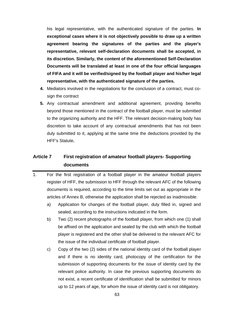his legal representative, with the authenticated signature of the parties. **In exceptional cases where it is not objectively possible to draw up a written agreement bearing the signatures of the parties and the player's representative, relevant self-declaration documents shall be accepted, in its discretion. Similarly, the content of the aforementioned Self-Declaration Documents will be translated at least in one of the four official languages of FIFA and it will be verified/signed by the football player and his/her legal representative, with the authenticated signature of the parties.**

- **4.** Mediators involved in the negotiations for the conclusion of a contract, must cosign the contract
- **5.** Any contractual amendment and additional agreement, providing benefits beyond those mentioned in the contract of the football player, must be submitted to the organizing authority and the HFF. The relevant decision-making body has discretion to take account of any contractual amendments that has not been duly submitted to it, applying at the same time the deductions provided by the HFF's Statute**.**

### **Article 7 First registration of amateur football players- Supporting documents**

- 1. For the first registration of a football player in the amateur football players register of HFF, the submission to HFF through the relevant AFC of the following documents is required, according to the time limits set out as appropriate in the articles of Annex B, otherwise the application shall be rejected as inadmissible:
	- a) Application for changes of the football player, duly filled in, signed and sealed, according to the instructions indicated in the form.
	- b) Two (2) recent photographs of the football player, from which one (1) shall be affixed on the application and sealed by the club with which the football player is registered and the other shall be delivered to the relevant AFC for the issue of the individual certificate of football player.
	- c) Copy of the two (2) sides of the national identity card of the football player and if there is no identity card, photocopy of the certification for the submission of supporting documents for the issue of identity card by the relevant police authority. In case the previous supporting documents do not exist, a recent certificate of identification shall be submitted for minors up to 12 years of age, for whom the issue of identity card is not obligatory.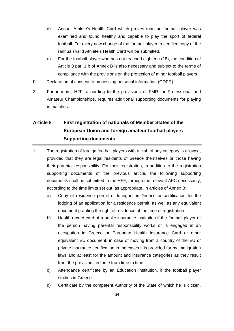- d) Annual Athlete's Health Card which proves that the football player was examined and found healthy and capable to play the sport of federal football. For every new change of the football player, a certified copy of the (annual) valid Athlete's Health Card will be submitted.
- e) For the football player who has not reached eighteen (18), the condition of Article **3** par. 1 b of Annex B is also necessary and subject to the terms of compliance with the provisions on the protection of minor football players.
- f) Declaration of consent to processing personal information (GDPR).
- 2. Furthermore, HFF, according to the provisions of FMR for Professional and Amateur Championships, requires additional supporting documents for playing in matches.

## **Article 8 First registration of nationals of Member States of the European Union and foreign amateur football players - Supporting documents**

- 1. The registration of foreign football players with a club of any category is allowed, provided that they are legal residents of Greece themselves or those having their parental responsibility. For their registration, in addition to the registration supporting documents of the previous article, the following supporting documents shall be submitted to the HFF, through the relevant AFC necessarily, according to the time limits set out, as appropriate, in articles of Annex B:
	- a) Copy of residence permit of foreigner in Greece or certification for the lodging of an application for a residence permit, as well as any equivalent document granting the right of residence at the time of registration.
	- b) Health record card of a public insurance institution if the football player or the person having parental responsibility works or is engaged in an occupation in Greece or European Health Insurance Card or other equivalent EU document, in case of moving from a country of the EU or private insurance certification in the cases it is provided for by immigration laws and at least for the amount and insurance categories as they result from the provisions in force from time to time.
	- c) Attendance certificate by an Education Institution, if the football player studies in Greece.
	- d) Certificate by the competent Authority of the State of which he is citizen,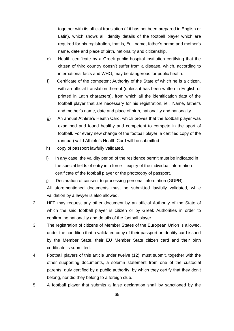together with its official translation (if it has not been prepared in English or Latin), which shows all identity details of the football player which are required for his registration, that is, Full name, father's name and mother's name, date and place of birth, nationality and citizenship.

- e) Health certificate by a Greek public hospital institution certifying that the citizen of third country doesn't suffer from a disease, which, according to international facts and WHO, may be dangerous for public health.
- f) Certificate of the competent Authority of the State of which he is a citizen, with an official translation thereof (unless it has been written in English or printed in Latin characters), from which all the identification data of the football player that are necessary for his registration, ie , Name, father's and mother's name, date and place of birth, nationality and nationality.
- g) An annual Athlete's Health Card, which proves that the football player was examined and found healthy and competent to compete in the sport of football. For every new change of the football player, a certified copy of the (annual) valid Athlete's Health Card will be submitted.
- h) copy of passport lawfully validated.
- i) In any case, the validity period of the residence permit must be indicated in the special fields of entry into force – expiry of the individual information certificate of the football player or the photocopy of passport.
- j) Declaration of consent to processing personal information (GDPR).

All aforementioned documents must be submitted lawfully validated, while validation by a lawyer is also allowed.

- 2. HFF may request any other document by an official Authority of the State of which the said football player is citizen or by Greek Authorities in order to confirm the nationality and details of the football player.
- 3. The registration of citizens of Member States of the European Union is allowed, under the condition that a validated copy of their passport or identity card issued by the Member State, their EU Member State citizen card and their birth certificate is submitted.
- 4. Football players of this article under twelve (12), must submit, together with the other supporting documents, a solemn statement from one of the custodial parents, duly certified by a public authority, by which they certify that they don't belong, nor did they belong to a foreign club.
- 5. A football player that submits a false declaration shall by sanctioned by the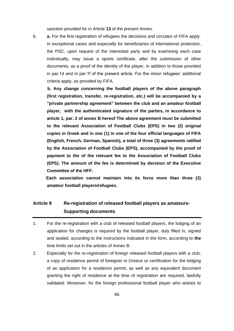sanction provided for in Article **13** of the present Annex.

6. **a.** For the first registration of refugees the decisions and circulars of FIFA apply. In exceptional cases and especially for beneficiaries of international protection, the PSC, upon request of the interested party and by examining each case individually, may issue a sports certificate, after the submission of other documents, as a proof of the identity of the player, in addition to those provided in par.1d and in par.1f of the present article. For the minor refugees' additional criteria apply, as provided by FIFA.

 **b. Any change concerning the football players of the above paragraph (first registration, transfer, re-registration, etc.) will be accompanied by a "private partnership agreement" between the club and an amateur football player, with the authenticated signature of the parties, in accordance to article 1, par. 2 of annex B hereof The above agreement must be submitted to the relevant Association of Football Clubs (EPS) in two (2) original copies in Greek and in one (1) in one of the four official languages of FIFA (English, French, German, Spanish), a total of three (3) agreements ratified by the Association of Football Clubs (EPS), accompanied by the proof of payment to the of the relevant fee to the Association of Football Clubs (EPS). The amount of the fee is determined by decision of the Executive Committee of the HFF.**

 **Each association cannot maintain into its force more than three (3) amateur football players/refugees.**

### **Article 9 Re-registration of released football players as amateurs-Supporting documents**

- 1. For the re-registration with a club of released football players, the lodging of an application for changes is required by the football player, duly filled in, signed and sealed, according to the instructions indicated in the form, according to **the**  time limits set out in the articles of Annex B.
- 2. Especially for the re-registration of foreign released football players with a club, a copy of residence permit of foreigner in Greece or certification for the lodging of an application for a residence permit, as well as any equivalent document granting the right of residence at the time of registration are required, lawfully validated. Moreover, for the foreign professional football player who wishes to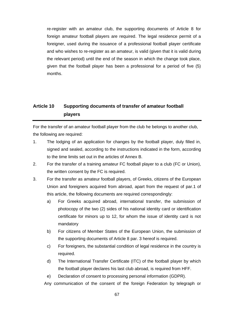re-register with an amateur club, the supporting documents of Article 8 for foreign amateur football players are required. The legal residence permit of a foreigner, used during the issuance of a professional football player certificate and who wishes to re-register as an amateur, is valid (given that it is valid during the relevant period) until the end of the season in which the change took place, given that the football player has been a professional for a period of five (5) months.

## **Article 10 Supporting documents of transfer of amateur football players**

For the transfer of an amateur football player from the club he belongs to another club, the following are required:

- 1. The lodging of an application for changes by the football player, duly filled in, signed and sealed, according to the instructions indicated in the form, according to the time limits set out in the articles of Annex B.
- 2. For the transfer of a training amateur FC football player to a club (FC or Union), the written consent by the FC is required.
- 3. For the transfer as amateur football players, of Greeks, citizens of the European Union and foreigners acquired from abroad, apart from the request of par.1 of this article, the following documents are required correspondingly:
	- a) For Greeks acquired abroad, international transfer, the submission of photocopy of the two (2) sides of his national identity card or identification certificate for minors up to 12, for whom the issue of identity card is not mandatory
	- b) For citizens of Member States of the European Union, the submission of the supporting documents of Article 8 par. 3 hereof is required.
	- c) For foreigners, the substantial condition of legal residence in the country is required.
	- d) The International Transfer Certificate (ITC) of the football player by which the football player declares his last club abroad, is required from HFF.
	- e) Declaration of consent to processing personal information (GDPR).

Any communication of the consent of the foreign Federation by telegraph or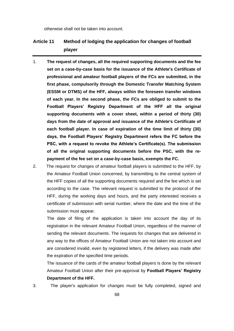otherwise shall not be taken into account.

### **Article 11 Method of lodging the application for changes of football player**

- 1. **The request of changes, all the required supporting documents and the fee set on a case-by-case basis for the issuance of the Athlete's Certificate of professional and amateur football players of the FCs are submitted, in the first phase, compulsorily through the Domestic Transfer Matching System (ESSM or DTMS) of the HFF, always within the foreseen transfer windows of each year. In the second phase, the FCs are obliged to submit to the Football Players' Registry Department of the HFF all the original supporting documents with a cover sheet, within a period of thirty (30) days from the date of approval and issuance of the Athlete's Certificate of each football player. In case of expiration of the time limit of thirty (30) days, the Football Players' Registry Department refers the FC before the PSC, with a request to revoke the Athlete's Certificate(s). The submission of all the original supporting documents before the PSC, with the repayment of the fee set on a case-by-case basis, exempts the FC.**
- 2. The request for changes of amateur football players is submitted to the HFF, by the Amateur Football Union concerned, by transmitting to the central system of the HFF copies of all the supporting documents required and the fee which is set according to the case. The relevant request is submitted to the protocol of the HFF, during the working days and hours, and the party interested receives a certificate of submission with serial number, where the date and the time of the submission must appear.

The date of filing of the application is taken into account the day of its registration in the relevant Amateur Football Union, regardless of the manner of sending the relevant documents. The requests for changes that are delivered in any way to the offices of Amateur Football Union are not taken into account and are considered invalid, even by registered letters, if the delivery was made after the expiration of the specified time periods.

The issuance of the cards of the amateur football players is done by the relevant Amateur Football Union after their pre-approval by **Football Players' Registry Department of the HFF.**

3. The player's application for changes must be fully completed, signed and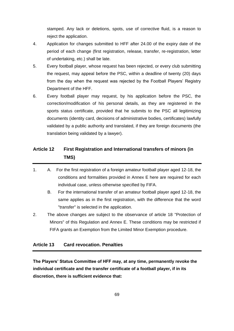stamped. Any lack or deletions, spots, use of corrective fluid, is a reason to reject the application.

- 4. Application for changes submitted to HFF after 24.00 of the expiry date of the period of each change (first registration, release, transfer, re-registration, letter of undertaking, etc.) shall be late.
- 5. Every football player, whose request has been rejected, or every club submitting the request, may appeal before the PSC, within a deadline of twenty (20) days from the day when the request was rejected by the Football Players' Registry Department of the HFF.
- 6. Every football player may request, by his application before the PSC, the correction/modification of his personal details, as they are registered in the sports status certificate, provided that he submits to the PSC all legitimizing documents (identity card, decisions of administrative bodies, certificates) lawfully validated by a public authority and translated, if they are foreign documents (the translation being validated by a lawyer).

### **Article 12 First Registration and International transfers of minors (in TMS)**

- 1. A. For the first registration of a foreign amateur football player aged 12-18, the conditions and formalities provided in Annex E here are required for each individual case, unless otherwise specified by FIFA.
	- B. For the international transfer of an amateur football player aged 12-18, the same applies as in the first registration, with the difference that the word "transfer" is selected in the application.
- 2. The above changes are subject to the observance of article 18 "Protection of Minors" of this Regulation and Annex E. These conditions may be restricted if FIFA grants an Exemption from the Limited Minor Exemption procedure.

### **Article 13 Card revocation. Penalties**

**The Players' Status Committee of HFF may, at any time, permanently revoke the individual certificate and the transfer certificate of a football player, if in its discretion, there is sufficient evidence that:**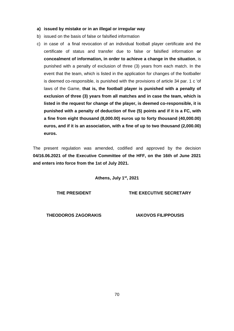- **a) issued by mistake or in an illegal or irregular way**
- b) issued on the basis of false or falsified information
- c) in case of a final revocation of an individual football player certificate and the certificate of status and transfer due to false or falsified information **or concealment of information, in order to achieve a change in the situation**, is punished with a penalty of exclusion of three (3) years from each match. In the event that the team, which is listed in the application for changes of the footballer is deemed co-responsible, is punished with the provisions of article 34 par. 1 c 'of laws of the Game, **that is, the football player is punished with a penalty of exclusion of three (3) years from all matches and in case the team, which is listed in the request for change of the player, is deemed co-responsible, it is punished with a penalty of deduction of five (5) points and if it is a FC, with a fine from eight thousand (8,000.00) euros up to forty thousand (40,000.00) euros, and if it is an association, with a fine of up to two thousand (2,000.00) euros.**

The present regulation was amended, codified and approved by the decision **04/16.06.2021 of the Executive Committee of the HFF, on the 16th of June 2021 and enters into force from the 1st of July 2021.**

**Athens, July 1st, 2021**

**THE PRESIDENT**

**THE EXECUTIVE SECRETARY**

**THEODOROS ZAGORAKIS**

**IAKOVOS FILIPPOUSIS**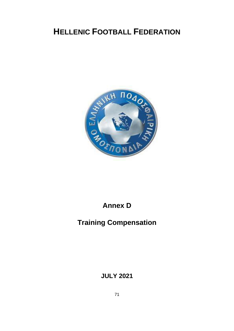# **HELLENIC FOOTBALL FEDERATION**



# **Annex D**

# **Training Compensation**

**JULY 2021**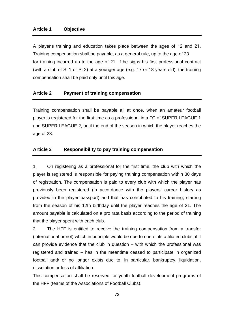A player's training and education takes place between the ages of 12 and 21. Training compensation shall be payable, as a general rule, up to the age of 23 for training incurred up to the age of 21. If he signs his first professional contract (with a club of SL1 or SL2) at a younger age (e.g. 17 or 18 years old), the training compensation shall be paid only until this age.

### **Article 2 Payment of training compensation**

Training compensation shall be payable all at once, when an amateur football player is registered for the first time as a professional in a FC of SUPER LEAGUE 1 and SUPER LEAGUE 2, until the end of the season in which the player reaches the age of 23.

#### **Article 3 Responsibility to pay training compensation**

1. On registering as a professional for the first time, the club with which the player is registered is responsible for paying training compensation within 30 days of registration. The compensation is paid to every club with which the player has previously been registered (in accordance with the players' career history as provided in the player passport) and that has contributed to his training, starting from the season of his 12th birthday until the player reaches the age of 21. The amount payable is calculated on a pro rata basis according to the period of training that the player spent with each club.

2. The HFF is entitled to receive the training compensation from a transfer (international or not) which in principle would be due to one of its affiliated clubs, if it can provide evidence that the club in question – with which the professional was registered and trained – has in the meantime ceased to participate in organized football and/ or no longer exists due to, in particular, bankruptcy, liquidation, dissolution or loss of affiliation.

This compensation shall be reserved for youth football development programs of the HFF (teams of the Associations of Football Clubs).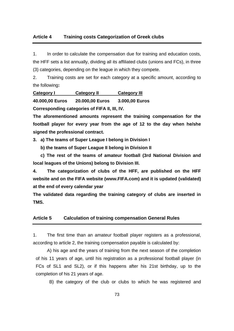#### **Article 4 Training costs Categorization of Greek clubs**

1. In order to calculate the compensation due for training and education costs, the HFF sets a list annually, dividing all its affiliated clubs (unions and FCs), in three (3) categories, depending on the league in which they compete.

2. Training costs are set for each category at a specific amount, according to the following**:**

**Category I Category II Category III**

**40.000,00 Euros 20.000,00 Euros 3.000,00 Euros**

**Corresponding categories of FIFA II, III, IV.**

**The aforementioned amounts represent the training compensation for the football player for every year from the age of 12 to the day when he/she signed the professional contract.**

**3. a) The teams of Super League I belong in Division I**

 **b) the teams of Super League II belong in Division II**

 **c) The rest of the teams of amateur football (3rd National Division and local leagues of the Unions) belong to Division III.**

**4. The categorization of clubs of the HFF, are published on the HFF website and on the FIFA website (www.FIFA.com) and it is updated (validated) at the end of every calendar year**

**The validated data regarding the training category of clubs are inserted in TMS.**

#### **Article 5 Calculation of training compensation General Rules**

1. The first time than an amateur football player registers as a professional, according to article 2, the training compensation payable is calculated by:

 A) his age and the years of training from the next season of the completion of his 11 years of age, until his registration as a professional football player (in FCs of SL1 and SL2), or if this happens after his 21st birthday, up to the completion of his 21 years of age.

B) the category of the club or clubs to which he was registered and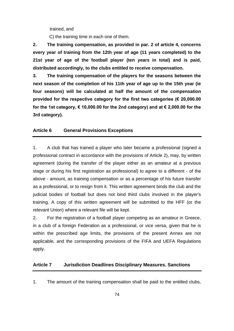trained, and

C) the training time in each one of them.

**2. The training compensation, as provided in par. 2 of article 4, concerns every year of training from the 12th year of age (11 years completed) to the 21st year of age of the football player (ten years in total) and is paid, distributed accordingly, to the clubs entitled to receive compensation.**

**3. The training compensation of the players for the seasons between the next season of the completion of his 11th year of age up to the 15th year (ie four seasons) will be calculated at half the amount of the compensation provided for the respective category for the first two categories (€ 20,000.00 for the 1st category, € 10,000.00 for the 2nd category) and at € 2,000.00 for the 3rd category).**

#### **Article 6 General Provisions Exceptions**

1. A club that has trained a player who later became a professional (signed a professional contract in accordance with the provisions of Article 2), may, by written agreement (during the transfer of the player either as an amateur at a previous stage or during his first registration as professional) to agree to a different - of the above - amount, as training compensation or as a percentage of his future transfer as a professional, or to resign from it. This written agreement binds the club and the judicial bodies of football but does not bind third clubs involved in the player's training. A copy of this written agreement will be submitted to the HFF (or the relevant Union) where a relevant file will be kept.

2. For the registration of a football player competing as an amateur in Greece, in a club of a foreign Federation as a professional, or vice versa, given that he is within the prescribed age limits, the provisions of the present Annex are not applicable, and the corresponding provisions of the FIFA and UEFA Regulations apply.

#### **Article 7 Jurisdiction Deadlines Disciplinary Measures. Sanctions**

1. The amount of the training compensation shall be paid to the entitled clubs,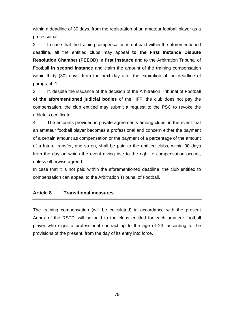within a deadline of 30 days, from the registration of an amateur football player as a professional.

2. In case that the training compensation is not paid within the aforementioned deadline, all the entitled clubs may appeal **to the First Instance Dispute Resolution Chamber (PEEOD) in first instance** and to the Arbitration Tribunal of Football **in second instance** and claim the amount of the training compensation within thirty (30) days, from the next day after the expiration of the deadline of paragraph 1.

3. If, despite the issuance of the decision of the Arbitration Tribunal of Football **of the aforementioned judicial bodies** of the HFF, the club does not pay the compensation, the club entitled may submit a request to the PSC to revoke the athlete's certificate.

4. The amounts provided in private agreements among clubs, in the event that an amateur football player becomes a professional and concern either the payment of a certain amount as compensation or the payment of a percentage of the amount of a future transfer, and so on, shall be paid to the entitled clubs, within 30 days from the day on which the event giving rise to the right to compensation occurs, unless otherwise agreed.

In case that it is not paid within the aforementioned deadline, the club entitled to compensation can appeal to the Arbitration Tribunal of Football.

#### **Article 8 Transitional measures**

The training compensation (will be calculated) in accordance with the present Annex of the RSTP, will be paid to the clubs entitled for each amateur football player who signs a professional contract up to the age of 23, according to the provisions of the present, from the day of its entry into force.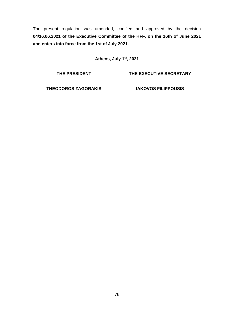The present regulation was amended, codified and approved by the decision **04/16.06.2021 of the Executive Committee of the HFF, on the 16th of June 2021 and enters into force from the 1st of July 2021.**

**Athens, July 1st, 2021**

**THE PRESIDENT**

**THE EXECUTIVE SECRETARY**

**THEODOROS ZAGORAKIS**

**IAKOVOS FILIPPOUSIS**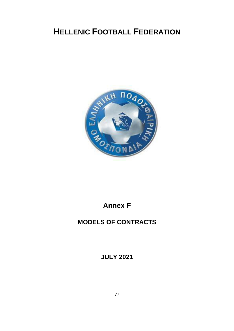

### **Annex F**

### **MODELS OF CONTRACTS**

**JULY 2021**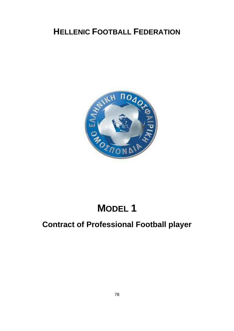

# **MODEL 1**

## **Contract of Professional Football player**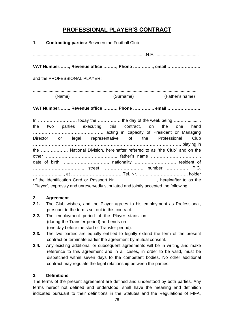### **PROFESSIONAL PLAYER'S CONTRACT**

| 1. Contracting parties: Between the Football Club:                                                                                                        |                           |
|-----------------------------------------------------------------------------------------------------------------------------------------------------------|---------------------------|
|                                                                                                                                                           |                           |
| VAT Number, Revenue office , Phone , email                                                                                                                |                           |
| and the PROFESSIONAL PLAYER:                                                                                                                              |                           |
| (Name)                                                                                                                                                    | (Surname) (Father's name) |
| VAT Number, Revenue office , Phone , email                                                                                                                |                           |
| the two parties executing this contract, on the one hand                                                                                                  |                           |
| Director or legal representative of the Professional Club                                                                                                 |                           |
| the  National Division, hereinafter referred to as "the Club" and on the<br>date of birth , nationality , resident of                                     |                           |
|                                                                                                                                                           |                           |
| of the Identification Card or Passport Nr. , hereinafter to as the<br>"Player", expressly and unreservedly stipulated and jointly accepted the following: |                           |

#### **2. Agreement**

- **2.1.** The Club wishes, and the Player agrees to his employment as Professional, pursuant to the terms set out in this contract.
- **2.2.** The employment period of the Player starts on ……………………………… (during the Transfer period) and ends on …………………………………………… (one day before the start of Transfer period).
- **2.3.** The two parties are equally entitled to legally extend the term of the present contract or terminate earlier the agreement by mutual consent.
- **2.4.** Any existing additional or subsequent agreements will be in writing and make reference to this agreement and in all cases, in order to be valid, must be dispatched within seven days to the competent bodies. No other additional contract may regulate the legal relationship between the parties.

#### **3. Definitions**

The terms of the present agreement are defined and understood by both parties. Any terms hereof not defined and understood, shall have the meaning and definition indicated pursuant to their definitions in the Statutes and the Regulations of FIFA,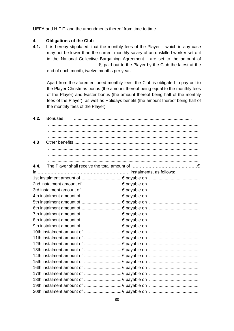UEFA and H.F.F. and the amendments thereof from time to time.

#### **4. Obligations of the Club**

**4.1.** It is hereby stipulated, that the monthly fees of the Player – which in any case may not be lower than the current monthly salary of an unskilled worker set out in the National Collective Bargaining Agreement - are set to the amount of ………………………………€, paid out to the Player by the Club the latest at the end of each month, twelve months per year.

Apart from the aforementioned monthly fees, the Club is obligated to pay out to the Player Christmas bonus (the amount thereof being equal to the monthly fees of the Player) and Easter bonus (the amount thereof being half of the monthly fees of the Player), as well as Holidays benefit (the amount thereof being half of the monthly fees of the Player).

| 4.2. | <b>Bonuses</b> |
|------|----------------|
|      |                |
|      |                |
|      |                |
| 4.3  |                |
|      |                |
|      |                |
|      |                |
| 4.4. |                |
|      |                |
|      |                |
|      |                |
|      |                |
|      |                |
|      |                |
|      |                |
|      |                |
|      |                |
|      |                |
|      |                |
|      |                |
|      |                |
|      |                |
|      |                |
|      |                |
|      |                |
|      |                |
|      |                |
|      |                |
|      |                |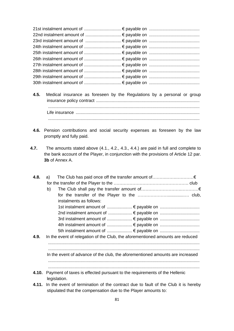- **4.5.** Medical insurance as foreseen by the Regulations by a personal or group insurance policy contract ...................................................................................... .............................................................................................................................. Life insurance ....................................................................................................... ..............................................................................................................................
- **4.6.** Pension contributions and social security expenses as foreseen by the law promptly and fully paid.
- **4.7.** The amounts stated above (4.1., 4.2., 4.3., 4.4.) are paid in full and complete to the bank account of the Player, in conjunction with the provisions of Article 12 par. **3b** of Annex A.

| 4.8. | a)                                                                                              |
|------|-------------------------------------------------------------------------------------------------|
|      |                                                                                                 |
|      | b)                                                                                              |
|      |                                                                                                 |
|      | instalments as follows:                                                                         |
|      |                                                                                                 |
|      |                                                                                                 |
|      |                                                                                                 |
|      |                                                                                                 |
|      |                                                                                                 |
| 4.9. | In the event of relegation of the Club, the aforementioned amounts are reduced                  |
|      |                                                                                                 |
|      |                                                                                                 |
|      | In the event of advance of the club, the aforementioned amounts are increased                   |
|      |                                                                                                 |
|      |                                                                                                 |
|      | 4.10. Payment of taxes is effected pursuant to the requirements of the Hellenic<br>legislation. |

**4.11.** In the event of termination of the contract due to fault of the Club it is hereby stipulated that the compensation due to the Player amounts to: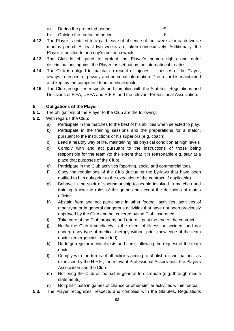- a) During the protected period  $\dots\dots\dots\dots\dots\dots\dots\dots\dots\dots\dots\dots\dots$
- b) Outside the protected period ……………………………. €
- **4.12** The Player is entitled to a paid leave of absence of four weeks for each twelve months period. At least two weeks are taken consecutively. Additionally, the Player is entitled to one day's rest each week.
- **4.13.** The Club is obligated to protect the Player's human rights and deter discriminations against the Player, as set out by the international treaties.
- **4.14.** The Club is obliged to maintain a record of injuries illnesses of the Player, always in respect of privacy and personal information. The record is maintained and kept by the competent team medical doctor.
- **4.15.** The Club recognizes respects and complies with the Statutes, Regulations and Decisions of FIFA, UEFA and H.F.F. and the relevant Professional Association.

#### **5. Obligations of the Player**

- **5.1.** The obligations of the Player to the Club are the following:
- **5.2.** With regards the Club:
	- a) Participate in the matches to the best of his abilities when selected to play.
	- b) Participate in the training sessions and the preparations for a match, pursuant to the instructions of his superiors (e.g. coach)
	- c) Lead a healthy way of life, maintaining his physical condition at high levels
	- d) Comply with and act pursuant to the instructions of those being responsible for the team (to the extent that it is reasonable e.g. stay at a place that purposes of the Club).
	- e) Participate in the Club activities (sporting, social and commercial too).
	- f) Obey the regulations of the Club (including the by-laws that have been notified to him duly prior to the execution of the contract, if applicable).
	- g) Behave in the spirit of sportsmanship to people involved in matches and training, know the rules of the game and accept the decisions of match officials.
	- h) Abstain from and not participate in other football activities, activities of other type or in general dangerous activities that have not been previously approved by the Club and not covered by the Club insurance.
	- i) Take care of the Club property and return it past the end of the contract.
	- j) Notify the Club immediately in the event of illness or accident and not undergo any type of medical therapy without prior knowledge of the team doctor (emergencies excluded).
	- k) Undergo regular medical tests and care, following the request of the team doctor.
	- l) Comply with the terms of all policies aiming to abolish discriminations, as exercised by the H.F.F., the relevant Professional Association, the Players Association and the Club.
	- m) Not bring the Club or football in general to disrepute (e.g. through media statements).
	- n) Not participate in games of chance or other similar activities within football.
- **5.3.** The Player recognizes, respects and complies with the Statutes, Regulations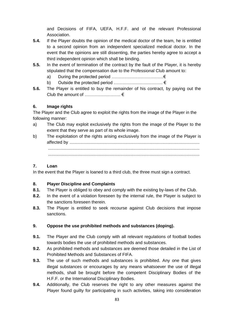and Decisions of FIFA, UEFA, H.F.F. and of the relevant Professional Association.

- **5.4.** If the Player doubts the opinion of the medical doctor of the team, he is entitled to a second opinion from an independent specialized medical doctor. In the event that the opinions are still dissenting, the parties hereby agree to accept a third independent opinion which shall be binding.
- **5.5.** In the event of termination of the contract by the fault of the Player, it is hereby stipulated that the compensation due to the Professional Club amount to:
	- a) During the protected period ………………………………€
	- b) Outside the protected period ……………………………. €
- **5.6.** The Player is entitled to buy the remainder of his contract, by paying out the Club the amount of  $\dots\dots\dots\dots\dots \in$

#### **6. Image rights**

The Player and the Club agree to exploit the rights from the image of the Player in the following manner:

- a) The Club may exploit exclusively the rights from the image of the Player to the extent that they serve as part of its whole image.
- b) The exploitation of the rights arising exclusively from the image of the Player is affected by ............................................................................................................ .............................................................................................................................. ..............................................................................................................................

#### **7. Loan**

In the event that the Player is loaned to a third club, the three must sign a contract.

#### **8. Player Discipline and Complaints**

- **8.1.** The Player is obliged to obey and comply with the existing by-laws of the Club.
- **8.2.** In the event of a violation foreseen by the internal rule, the Player is subject to the sanctions foreseen therein.
- **8.3.** The Player is entitled to seek recourse against Club decisions that impose sanctions.

#### **9. Oppose the use prohibited methods and substances (doping).**

- **9.1.** The Player and the Club comply with all relevant regulations of football bodies towards bodies the use of prohibited methods and substances.
- **9.2.** As prohibited methods and substances are deemed those detailed in the List of Prohibited Methods and Substances of FIFA.
- **9.3.** The use of such methods and substances is prohibited. Any one that gives illegal substances or encourages by any means whatsoever the use of illegal methods, shall be brought before the competent Disciplinary Bodies of the H.F.F. or the International Disciplinary Bodies.
- **9.4.** Additionally, the Club reserves the right to any other measures against the Player found guilty for participating in such activities, taking into consideration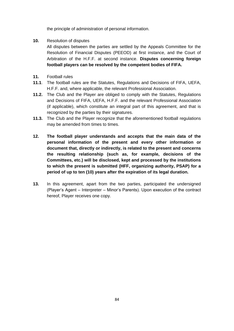the principle of administration of personal information.

**10.** Resolution of disputes

All disputes between the parties are settled by the Appeals Committee for the Resolution of Financial Disputes (PEEOD) at first instance, and the Court of Arbitration of the H.F.F. at second instance. **Disputes concerning foreign football players can be resolved by the competent bodies of FIFA.**

- **11.** Football rules
- **11.1**. The football rules are the Statutes, Regulations and Decisions of FIFA, UEFA, H.F.F. and, where applicable, the relevant Professional Association.
- **11.2.** The Club and the Player are obliged to comply with the Statutes, Regulations and Decisions of FIFA, UEFA, H.F.F. and the relevant Professional Association (if applicable), which constitute an integral part of this agreement, and that is recognized by the parties by their signatures.
- **11.3.** The Club and the Player recognize that the aforementioned football regulations may be amended from times to times.
- **12. The football player understands and accepts that the main data of the personal information of the present and every other information or document that, directly or indirectly, is related to the present and concerns the resulting relationship (such as, for example, decisions of the Committees, etc.) will be disclosed, kept and processed by the institutions to which the present is submitted (HFF, organizing authority, PSAP) for a period of up to ten (10) years after the expiration of its legal duration.**
- **13.** In this agreement, apart from the two parties, participated the undersigned (Player's Agent – Interpreter – Minor's Parents). Upon execution of the contract hereof, Player receives one copy.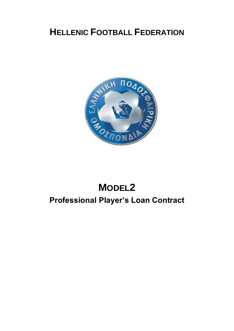

# **MODEL2 Professional Player's Loan Contract**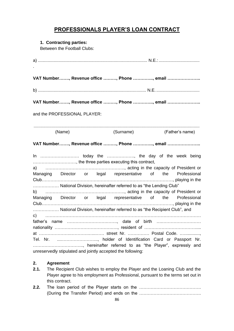### **PROFESSIONALS PLAYER'S LOAN CONTRACT**

#### **1. Contracting parties:**

Between the Football Clubs:

|                                                             |        |  |  | VAT Number, Revenue office , Phone , email                                                                                                                                                                                    |  |  |                 |  |
|-------------------------------------------------------------|--------|--|--|-------------------------------------------------------------------------------------------------------------------------------------------------------------------------------------------------------------------------------|--|--|-----------------|--|
|                                                             |        |  |  |                                                                                                                                                                                                                               |  |  |                 |  |
|                                                             |        |  |  | VAT Number, Revenue office , Phone , email                                                                                                                                                                                    |  |  |                 |  |
| and the PROFESSIONAL PLAYER:                                |        |  |  |                                                                                                                                                                                                                               |  |  |                 |  |
|                                                             | (Name) |  |  | (Surname) and the state of the state of the state of the state of the state of the state of the state of the state of the state of the state of the state of the state of the state of the state of the state of the state of |  |  | (Father's name) |  |
|                                                             |        |  |  |                                                                                                                                                                                                                               |  |  |                 |  |
|                                                             |        |  |  | VAT Number, Revenue office , Phone , email                                                                                                                                                                                    |  |  |                 |  |
|                                                             |        |  |  | , the three parties executing this contract,                                                                                                                                                                                  |  |  |                 |  |
|                                                             |        |  |  |                                                                                                                                                                                                                               |  |  |                 |  |
|                                                             |        |  |  | Managing Director or legal representative of the Professional                                                                                                                                                                 |  |  |                 |  |
|                                                             |        |  |  | National Division, hereinafter referred to as "the Lending Club"                                                                                                                                                              |  |  |                 |  |
|                                                             |        |  |  |                                                                                                                                                                                                                               |  |  |                 |  |
|                                                             |        |  |  | Managing Director or legal representative of the Professional                                                                                                                                                                 |  |  |                 |  |
|                                                             |        |  |  | National Division, hereinafter referred to as "the Recipient Club", and                                                                                                                                                       |  |  |                 |  |
|                                                             |        |  |  |                                                                                                                                                                                                                               |  |  |                 |  |
|                                                             |        |  |  |                                                                                                                                                                                                                               |  |  |                 |  |
|                                                             |        |  |  |                                                                                                                                                                                                                               |  |  |                 |  |
|                                                             |        |  |  | Tel. Nr. , holder of Identification Card or Passport Nr.                                                                                                                                                                      |  |  |                 |  |
|                                                             |        |  |  | , hereinafter referred to as "the Player", expressly and                                                                                                                                                                      |  |  |                 |  |
| unreservedly stipulated and jointly accepted the following: |        |  |  |                                                                                                                                                                                                                               |  |  |                 |  |

#### **2. Agreement**

- **2.1.** The Recipient Club wishes to employ the Player and the Loaning Club and the Player agree to his employment as Professional, pursuant to the terms set out in this contract.
- **2.2.** The loan period of the Player starts on the ……………………………………. (During the Transfer Period) and ends on the …………………………………….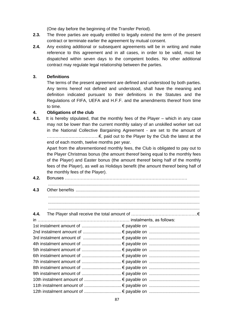(One day before the beginning of the Transfer Period).

- **2.3.** The three parties are equally entitled to legally extend the term of the present contract or terminate earlier the agreement by mutual consent.
- **2.4.** Any existing additional or subsequent agreements will be in writing and make reference to this agreement and in all cases, in order to be valid, must be dispatched within seven days to the competent bodies. No other additional contract may regulate legal relationship between the parties.

#### **3. Definitions**

The terms of the present agreement are defined and understood by both parties. Any terms hereof not defined and understood, shall have the meaning and definition indicated pursuant to their definitions in the Statutes and the Regulations of FIFA, UEFA and H.F.F. and the amendments thereof from time to time.

#### **4. Obligations of the club**

**4.1.** It is hereby stipulated, that the monthly fees of the Player – which in any case may not be lower than the current monthly salary of an unskilled worker set out in the National Collective Bargaining Agreement - are set to the amount of ………………………………€, paid out to the Player by the Club the latest at the end of each month, twelve months per year.

Apart from the aforementioned monthly fees, the Club is obligated to pay out to the Player Christmas bonus (the amount thereof being equal to the monthly fees of the Player) and Easter bonus (the amount thereof being half of the monthly fees of the Player), as well as Holidays benefit (the amount thereof being half of the monthly fees of the Player).

**4.2.** Bonuses …………………………………………………………………………. .............................................................................................................................. **4.3** Other benefits ....................................................................................................... .............................................................................................................................. .............................................................................................................................. .............................................................................................................................. **4.4.** The Player shall receive the total amount of ……………………………….………€ in ………………………………………………………. instalments, as follows: 1st instalment amount of ................................. € payable on .......................................... 2nd instalment amount of ................................ € payable on .......................................... 3rd instalment amount of ................................ € payable on .......................................... 4th instalment amount of ................................. € payable on .......................................... 5th instalment amount of ................................. € payable on .......................................... 6th instalment amount of ................................. € payable on .......................................... 7th instalment amount of ................................. € payable on .......................................... 8th instalment amount of ................................. € payable on .......................................... 9th instalment amount of ................................. € payable on .......................................... 10th instalment amount of ............................... € payable on .......................................... 11th instalment amount of ............................... € payable on .......................................... 12th instalment amount of ............................... € payable on ..........................................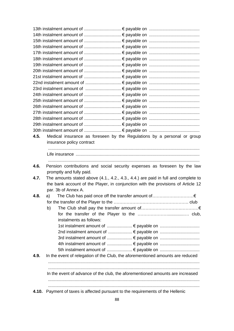|      | 4.10. Payment of taxes is affected pursuant to the requirements of the Hellenic                                                                                        |
|------|------------------------------------------------------------------------------------------------------------------------------------------------------------------------|
|      | In the event of advance of the club, the aforementioned amounts are increased                                                                                          |
| 4.9. | In the event of relegation of the Club, the aforementioned amounts are reduced                                                                                         |
|      |                                                                                                                                                                        |
|      |                                                                                                                                                                        |
|      |                                                                                                                                                                        |
|      |                                                                                                                                                                        |
|      |                                                                                                                                                                        |
|      | instalments as follows:                                                                                                                                                |
|      | b)                                                                                                                                                                     |
|      |                                                                                                                                                                        |
| 4.8. |                                                                                                                                                                        |
|      | par. 3b of Annex A.                                                                                                                                                    |
| 4.7. | The amounts stated above (4.1., 4.2., 4.3., 4.4.) are paid in full and complete to<br>the bank account of the Player, in conjunction with the provisions of Article 12 |
|      | promptly and fully paid.                                                                                                                                               |
| 4.6. | Pension contributions and social security expenses as foreseen by the law                                                                                              |
|      |                                                                                                                                                                        |
|      |                                                                                                                                                                        |
|      | insurance policy contract                                                                                                                                              |
| 4.5. | Medical insurance as foreseen by the Regulations by a personal or group                                                                                                |
|      |                                                                                                                                                                        |
|      |                                                                                                                                                                        |
|      |                                                                                                                                                                        |
|      |                                                                                                                                                                        |
|      |                                                                                                                                                                        |
|      |                                                                                                                                                                        |
|      |                                                                                                                                                                        |
|      |                                                                                                                                                                        |
|      |                                                                                                                                                                        |
|      |                                                                                                                                                                        |
|      |                                                                                                                                                                        |
|      |                                                                                                                                                                        |
|      |                                                                                                                                                                        |
|      |                                                                                                                                                                        |
|      |                                                                                                                                                                        |
|      |                                                                                                                                                                        |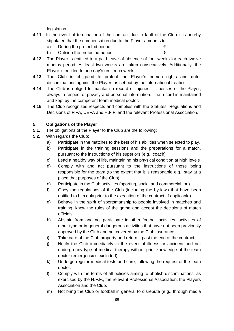legislation.

- **4.11.** In the event of termination of the contract due to fault of the Club it is hereby stipulated that the compensation due to the Player amounts to:
	- a) During the protected period  $\dots\dots\dots\dots\dots\dots\dots\dots\dots\dots\dots\dots\dots$
	- b) Outside the protected period  $\dots\dots\dots\dots\dots\dots\dots\dots\dots\dots\dots\dots\in$
- **4.12** The Player is entitled to a paid leave of absence of four weeks for each twelve months period. At least two weeks are taken consecutively. Additionally, the Player is entitled to one day's rest each week.
- **4.13.** The Club is obligated to protect the Player's human rights and deter discriminations against the Player, as set out by the international treaties.
- **4.14.** The Club is obliged to maintain a record of injuries illnesses of the Player, always in respect of privacy and personal information. The record is maintained and kept by the competent team medical doctor.
- **4.15.** The Club recognizes respects and complies with the Statutes, Regulations and Decisions of FIFA, UEFA and H.F.F. and the relevant Professional Association.

#### **5. Obligations of the Player**

- **5.1.** The obligations of the Player to the Club are the following:
- **5.2.** With regards the Club:
	- a) Participate in the matches to the best of his abilities when selected to play.
	- b) Participate in the training sessions and the preparations for a match, pursuant to the instructions of his superiors (e.g., coach)
	- c) Lead a healthy way of life, maintaining his physical condition at high levels
	- d) Comply with and act pursuant to the instructions of those being responsible for the team (to the extent that it is reasonable e.g., stay at a place that purposes of the Club).
	- e) Participate in the Club activities (sporting, social and commercial too).
	- f) Obey the regulations of the Club (including the by-laws that have been notified to him duly prior to the execution of the contract, if applicable).
	- g) Behave in the spirit of sportsmanship to people involved in matches and training, know the rules of the game and accept the decisions of match officials.
	- h) Abstain from and not participate in other football activities, activities of other type or in general dangerous activities that have not been previously approved by the Club and not covered by the Club insurance.
	- i) Take care of the Club property and return it past the end of the contract.
	- j) Notify the Club immediately in the event of illness or accident and not undergo any type of medical therapy without prior knowledge of the team doctor (emergencies excluded).
	- k) Undergo regular medical tests and care, following the request of the team doctor.
	- l) Comply with the terms of all policies aiming to abolish discriminations, as exercised by the H.F.F., the relevant Professional Association, the Players Association and the Club.
	- m) Not bring the Club or football in general to disrepute (e.g., through media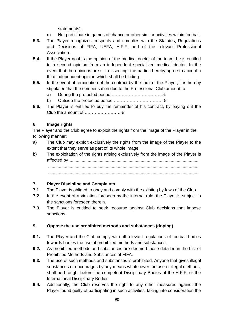statements).

- n) Not participate in games of chance or other similar activities within football.
- **5.3.** The Player recognizes, respects and complies with the Statutes, Regulations and Decisions of FIFA, UEFA, H.F.F. and of the relevant Professional Association.
- **5.4.** If the Player doubts the opinion of the medical doctor of the team, he is entitled to a second opinion from an independent specialized medical doctor. In the event that the opinions are still dissenting, the parties hereby agree to accept a third independent opinion which shall be binding.
- **5.5.** In the event of termination of the contract by the fault of the Player, it is hereby stipulated that the compensation due to the Professional Club amount to:
	- a) During the protected period ………………………………€
	- b) Outside the protected period ……………………………. €
- **5.6.** The Player is entitled to buy the remainder of his contract, by paying out the Club the amount of  $\dots\dots\dots\dots\dots\d\in$

#### **6. Image rights**

The Player and the Club agree to exploit the rights from the image of the Player in the following manner:

- a) The Club may exploit exclusively the rights from the image of the Player to the extent that they serve as part of its whole image.
- b) The exploitation of the rights arising exclusively from the image of the Player is affected by ............................................................................................................ ..............................................................................................................................

..............................................................................................................................

#### **7. Player Discipline and Complaints**

- **7.1.** The Player is obliged to obey and comply with the existing by-laws of the Club.
- **7.2.** In the event of a violation foreseen by the internal rule, the Player is subject to the sanctions foreseen therein.
- **7.3.** The Player is entitled to seek recourse against Club decisions that impose sanctions.

#### **9. Oppose the use prohibited methods and substances (doping).**

- **9.1.** The Player and the Club comply with all relevant regulations of football bodies towards bodies the use of prohibited methods and substances.
- **9.2.** As prohibited methods and substances are deemed those detailed in the List of Prohibited Methods and Substances of FIFA.
- **9.3.** The use of such methods and substances is prohibited. Anyone that gives illegal substances or encourages by any means whatsoever the use of illegal methods, shall be brought before the competent Disciplinary Bodies of the H.F.F. or the International Disciplinary Bodies.
- **9.4.** Additionally, the Club reserves the right to any other measures against the Player found guilty of participating in such activities, taking into consideration the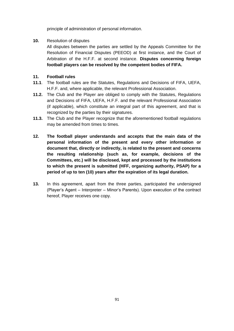principle of administration of personal information.

**10.** Resolution of disputes

All disputes between the parties are settled by the Appeals Committee for the Resolution of Financial Disputes (PEEOD) at first instance, and the Court of Arbitration of the H.F.F. at second instance. **Disputes concerning foreign football players can be resolved by the competent bodies of FIFA.**

#### **11. Football rules**

- **11.1**. The football rules are the Statutes, Regulations and Decisions of FIFA, UEFA, H.F.F. and, where applicable, the relevant Professional Association.
- **11.2.** The Club and the Player are obliged to comply with the Statutes, Regulations and Decisions of FIFA, UEFA, H.F.F. and the relevant Professional Association (if applicable), which constitute an integral part of this agreement, and that is recognized by the parties by their signatures.
- **11.3.** The Club and the Player recognize that the aforementioned football regulations may be amended from times to times.
- **12. The football player understands and accepts that the main data of the personal information of the present and every other information or document that, directly or indirectly, is related to the present and concerns the resulting relationship (such as, for example, decisions of the Committees, etc.) will be disclosed, kept and processed by the institutions to which the present is submitted (HFF, organizing authority, PSAP) for a period of up to ten (10) years after the expiration of its legal duration.**
- **13.** In this agreement, apart from the three parties, participated the undersigned (Player's Agent – Interpreter – Minor's Parents). Upon execution of the contract hereof, Player receives one copy.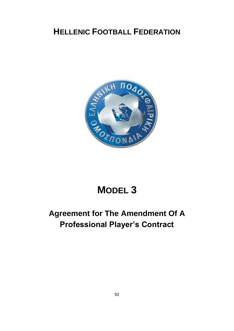

# **MODEL 3**

## **Agreement for The Amendment Of A Professional Player's Contract**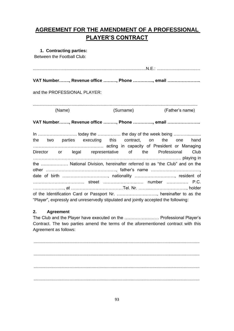### **AGREEMENT FOR THE AMENDMENT OF A PROFESSIONAL PLAYER'S CONTRACT**

#### **1. Contracting parties:**

Between the Football Club:

| VAT Number, Revenue office , Phone , email                                                                                                                                                        |           |                 |
|---------------------------------------------------------------------------------------------------------------------------------------------------------------------------------------------------|-----------|-----------------|
| and the PROFESSIONAL PLAYER:                                                                                                                                                                      |           |                 |
| (Name)                                                                                                                                                                                            | (Surname) | (Father's name) |
| VAT Number, Revenue office , Phone , email                                                                                                                                                        |           |                 |
| the two parties executing this contract, on the one hand<br>Director or legal representative of the Professional Club<br>the  National Division, hereinafter referred to as "the Club" and on the |           |                 |
|                                                                                                                                                                                                   |           |                 |
| date of birth , nationality , resident of                                                                                                                                                         |           |                 |
|                                                                                                                                                                                                   |           |                 |
| of the Identification Card or Passport Nr. , hereinafter to as the<br>"Player", expressly and unreservedly stipulated and jointly accepted the following:                                         |           |                 |
|                                                                                                                                                                                                   |           |                 |

#### **2. Agreement**

The Club and the Player have executed on the …………………… Professional Player's Contract. The two parties amend the terms of the aforementioned contract with this Agreement as follows:

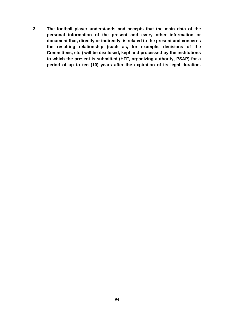**3. The football player understands and accepts that the main data of the personal information of the present and every other information or document that, directly or indirectly, is related to the present and concerns the resulting relationship (such as, for example, decisions of the Committees, etc.) will be disclosed, kept and processed by the institutions to which the present is submitted (HFF, organizing authority, PSAP) for a period of up to ten (10) years after the expiration of its legal duration.**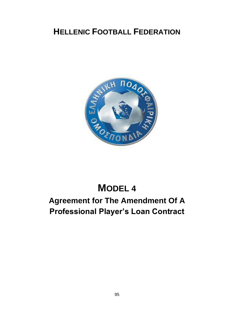

# **MODEL 4**

## **Agreement for The Amendment Of A Professional Player's Loan Contract**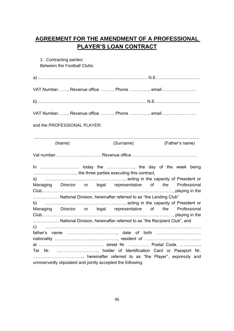### **AGREEMENT FOR THE AMENDMENT OF A PROFESSIONAL PLAYER'S LOAN CONTRACT**

|                              | 1. Contracting parties:<br>Between the Football Clubs: |  |                                                                                                                                          |  |  |
|------------------------------|--------------------------------------------------------|--|------------------------------------------------------------------------------------------------------------------------------------------|--|--|
|                              |                                                        |  |                                                                                                                                          |  |  |
|                              |                                                        |  | VAT Number, Revenue office , Phone , email                                                                                               |  |  |
|                              |                                                        |  |                                                                                                                                          |  |  |
|                              |                                                        |  | VAT Number, Revenue office , Phone , email                                                                                               |  |  |
| and the PROFESSIONAL PLAYER: |                                                        |  |                                                                                                                                          |  |  |
|                              | (Name)                                                 |  | (Surname) (Father's name)                                                                                                                |  |  |
|                              |                                                        |  |                                                                                                                                          |  |  |
|                              |                                                        |  | In  today the , the day of the week being<br>, the three parties executing this contract,<br>a) manufacture capacity of President or     |  |  |
|                              |                                                        |  | Managing Director or legal representative of the Professional<br>National Division, hereinafter referred to as "the Lending Club"        |  |  |
|                              |                                                        |  | Managing Director or legal representative of the Professional<br>National Division, hereinafter referred to as "the Recipient Club", and |  |  |
|                              |                                                        |  |                                                                                                                                          |  |  |
|                              |                                                        |  | Tel. Nr. , holder of Identification Card or Passport Nr.<br>, hereinafter referred to as "the Player", expressly and                     |  |  |
|                              |                                                        |  | unreservedly stipulated and jointly accepted the following:                                                                              |  |  |